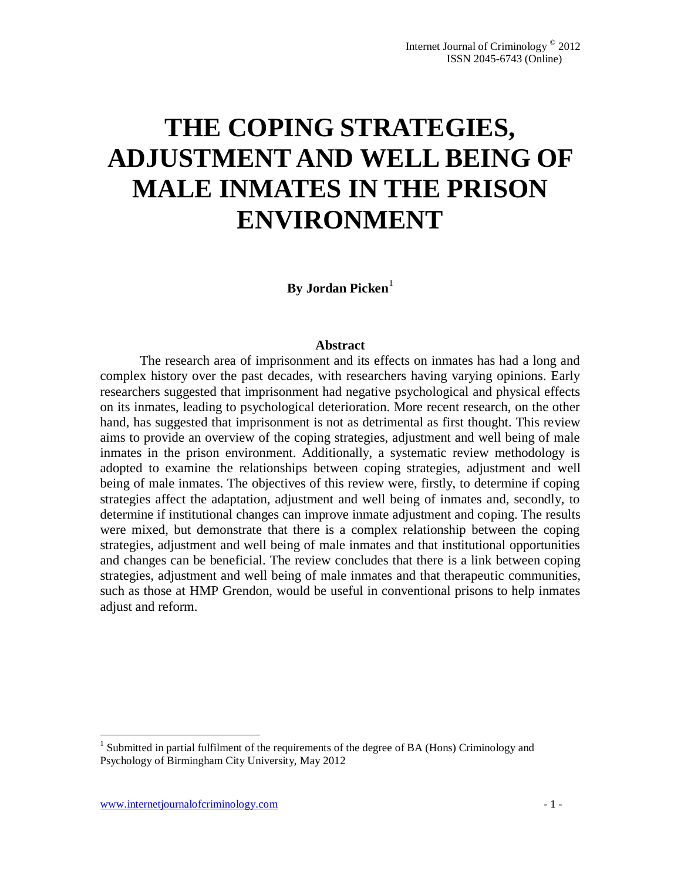# **THE COPING STRATEGIES, ADJUSTMENT AND WELL BEING OF MALE INMATES IN THE PRISON ENVIRONMENT**

**By Jordan Picken**<sup>1</sup>

#### **Abstract**

The research area of imprisonment and its effects on inmates has had a long and complex history over the past decades, with researchers having varying opinions. Early researchers suggested that imprisonment had negative psychological and physical effects on its inmates, leading to psychological deterioration. More recent research, on the other hand, has suggested that imprisonment is not as detrimental as first thought. This review aims to provide an overview of the coping strategies, adjustment and well being of male inmates in the prison environment. Additionally, a systematic review methodology is adopted to examine the relationships between coping strategies, adjustment and well being of male inmates. The objectives of this review were, firstly, to determine if coping strategies affect the adaptation, adjustment and well being of inmates and, secondly, to determine if institutional changes can improve inmate adjustment and coping. The results were mixed, but demonstrate that there is a complex relationship between the coping strategies, adjustment and well being of male inmates and that institutional opportunities and changes can be beneficial. The review concludes that there is a link between coping strategies, adjustment and well being of male inmates and that therapeutic communities, such as those at HMP Grendon, would be useful in conventional prisons to help inmates adjust and reform.

 1 Submitted in partial fulfilment of the requirements of the degree of BA (Hons) Criminology and Psychology of Birmingham City University, May 2012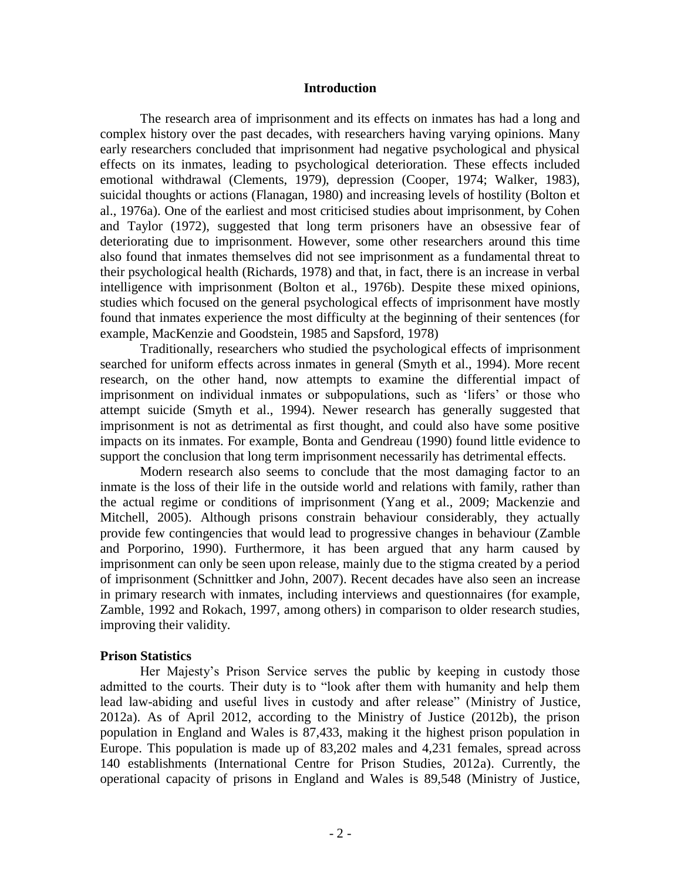#### **Introduction**

The research area of imprisonment and its effects on inmates has had a long and complex history over the past decades, with researchers having varying opinions. Many early researchers concluded that imprisonment had negative psychological and physical effects on its inmates, leading to psychological deterioration. These effects included emotional withdrawal (Clements, 1979), depression (Cooper, 1974; Walker, 1983), suicidal thoughts or actions (Flanagan, 1980) and increasing levels of hostility (Bolton et al., 1976a). One of the earliest and most criticised studies about imprisonment, by Cohen and Taylor (1972), suggested that long term prisoners have an obsessive fear of deteriorating due to imprisonment. However, some other researchers around this time also found that inmates themselves did not see imprisonment as a fundamental threat to their psychological health (Richards, 1978) and that, in fact, there is an increase in verbal intelligence with imprisonment (Bolton et al., 1976b). Despite these mixed opinions, studies which focused on the general psychological effects of imprisonment have mostly found that inmates experience the most difficulty at the beginning of their sentences (for example, MacKenzie and Goodstein, 1985 and Sapsford, 1978)

Traditionally, researchers who studied the psychological effects of imprisonment searched for uniform effects across inmates in general (Smyth et al., 1994). More recent research, on the other hand, now attempts to examine the differential impact of imprisonment on individual inmates or subpopulations, such as 'lifers' or those who attempt suicide (Smyth et al., 1994). Newer research has generally suggested that imprisonment is not as detrimental as first thought, and could also have some positive impacts on its inmates. For example, Bonta and Gendreau (1990) found little evidence to support the conclusion that long term imprisonment necessarily has detrimental effects.

Modern research also seems to conclude that the most damaging factor to an inmate is the loss of their life in the outside world and relations with family, rather than the actual regime or conditions of imprisonment (Yang et al., 2009; Mackenzie and Mitchell, 2005). Although prisons constrain behaviour considerably, they actually provide few contingencies that would lead to progressive changes in behaviour (Zamble and Porporino, 1990). Furthermore, it has been argued that any harm caused by imprisonment can only be seen upon release, mainly due to the stigma created by a period of imprisonment (Schnittker and John, 2007). Recent decades have also seen an increase in primary research with inmates, including interviews and questionnaires (for example, Zamble, 1992 and Rokach, 1997, among others) in comparison to older research studies, improving their validity.

### **Prison Statistics**

Her Majesty's Prison Service serves the public by keeping in custody those admitted to the courts. Their duty is to "look after them with humanity and help them lead law-abiding and useful lives in custody and after release" (Ministry of Justice, 2012a). As of April 2012, according to the Ministry of Justice (2012b), the prison population in England and Wales is 87,433, making it the highest prison population in Europe. This population is made up of 83,202 males and 4,231 females, spread across 140 establishments (International Centre for Prison Studies, 2012a). Currently, the operational capacity of prisons in England and Wales is 89,548 (Ministry of Justice,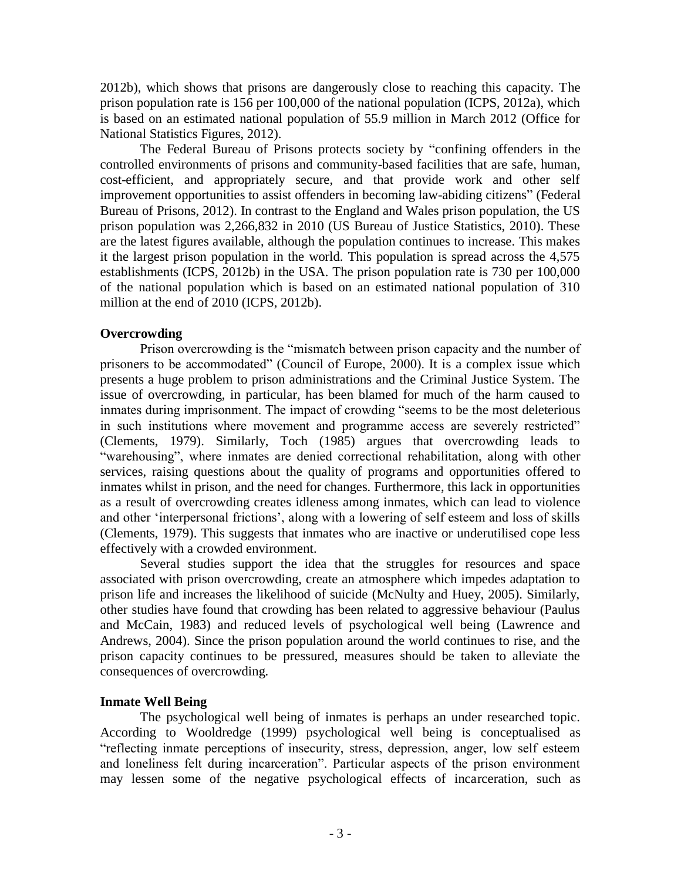2012b), which shows that prisons are dangerously close to reaching this capacity. The prison population rate is 156 per 100,000 of the national population (ICPS, 2012a), which is based on an estimated national population of 55.9 million in March 2012 (Office for National Statistics Figures, 2012).

The Federal Bureau of Prisons protects society by "confining offenders in the controlled environments of prisons and community-based facilities that are safe, human, cost-efficient, and appropriately secure, and that provide work and other self improvement opportunities to assist offenders in becoming law-abiding citizens" (Federal Bureau of Prisons, 2012). In contrast to the England and Wales prison population, the US prison population was 2,266,832 in 2010 (US Bureau of Justice Statistics, 2010). These are the latest figures available, although the population continues to increase. This makes it the largest prison population in the world. This population is spread across the 4,575 establishments (ICPS, 2012b) in the USA. The prison population rate is 730 per 100,000 of the national population which is based on an estimated national population of 310 million at the end of 2010 (ICPS, 2012b).

# **Overcrowding**

Prison overcrowding is the "mismatch between prison capacity and the number of prisoners to be accommodated" (Council of Europe, 2000). It is a complex issue which presents a huge problem to prison administrations and the Criminal Justice System. The issue of overcrowding, in particular, has been blamed for much of the harm caused to inmates during imprisonment. The impact of crowding "seems to be the most deleterious in such institutions where movement and programme access are severely restricted" (Clements, 1979). Similarly, Toch (1985) argues that overcrowding leads to "warehousing", where inmates are denied correctional rehabilitation, along with other services, raising questions about the quality of programs and opportunities offered to inmates whilst in prison, and the need for changes. Furthermore, this lack in opportunities as a result of overcrowding creates idleness among inmates, which can lead to violence and other 'interpersonal frictions', along with a lowering of self esteem and loss of skills (Clements, 1979). This suggests that inmates who are inactive or underutilised cope less effectively with a crowded environment.

Several studies support the idea that the struggles for resources and space associated with prison overcrowding, create an atmosphere which impedes adaptation to prison life and increases the likelihood of suicide (McNulty and Huey, 2005). Similarly, other studies have found that crowding has been related to aggressive behaviour (Paulus and McCain, 1983) and reduced levels of psychological well being (Lawrence and Andrews, 2004). Since the prison population around the world continues to rise, and the prison capacity continues to be pressured, measures should be taken to alleviate the consequences of overcrowding.

# **Inmate Well Being**

The psychological well being of inmates is perhaps an under researched topic. According to Wooldredge (1999) psychological well being is conceptualised as "reflecting inmate perceptions of insecurity, stress, depression, anger, low self esteem and loneliness felt during incarceration". Particular aspects of the prison environment may lessen some of the negative psychological effects of incarceration, such as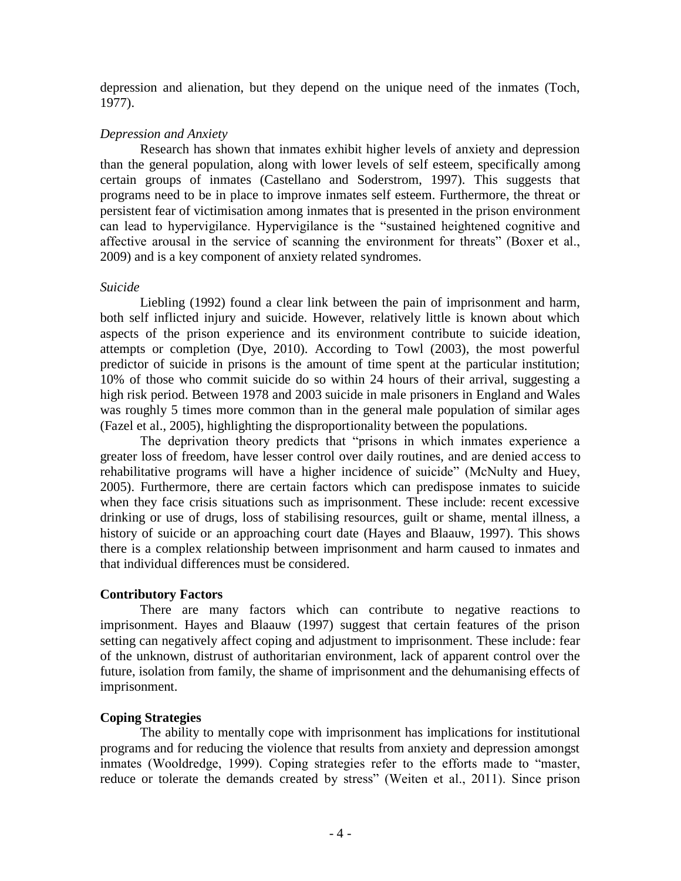depression and alienation, but they depend on the unique need of the inmates (Toch, 1977).

# *Depression and Anxiety*

Research has shown that inmates exhibit higher levels of anxiety and depression than the general population, along with lower levels of self esteem, specifically among certain groups of inmates (Castellano and Soderstrom, 1997). This suggests that programs need to be in place to improve inmates self esteem. Furthermore, the threat or persistent fear of victimisation among inmates that is presented in the prison environment can lead to hypervigilance. Hypervigilance is the "sustained heightened cognitive and affective arousal in the service of scanning the environment for threats" (Boxer et al., 2009) and is a key component of anxiety related syndromes.

# *Suicide*

Liebling (1992) found a clear link between the pain of imprisonment and harm, both self inflicted injury and suicide. However, relatively little is known about which aspects of the prison experience and its environment contribute to suicide ideation, attempts or completion (Dye, 2010). According to Towl (2003), the most powerful predictor of suicide in prisons is the amount of time spent at the particular institution; 10% of those who commit suicide do so within 24 hours of their arrival, suggesting a high risk period. Between 1978 and 2003 suicide in male prisoners in England and Wales was roughly 5 times more common than in the general male population of similar ages (Fazel et al., 2005), highlighting the disproportionality between the populations.

The deprivation theory predicts that "prisons in which inmates experience a greater loss of freedom, have lesser control over daily routines, and are denied access to rehabilitative programs will have a higher incidence of suicide" (McNulty and Huey, 2005). Furthermore, there are certain factors which can predispose inmates to suicide when they face crisis situations such as imprisonment. These include: recent excessive drinking or use of drugs, loss of stabilising resources, guilt or shame, mental illness, a history of suicide or an approaching court date (Hayes and Blaauw, 1997). This shows there is a complex relationship between imprisonment and harm caused to inmates and that individual differences must be considered.

# **Contributory Factors**

There are many factors which can contribute to negative reactions to imprisonment. Hayes and Blaauw (1997) suggest that certain features of the prison setting can negatively affect coping and adjustment to imprisonment. These include: fear of the unknown, distrust of authoritarian environment, lack of apparent control over the future, isolation from family, the shame of imprisonment and the dehumanising effects of imprisonment.

# **Coping Strategies**

The ability to mentally cope with imprisonment has implications for institutional programs and for reducing the violence that results from anxiety and depression amongst inmates (Wooldredge, 1999). Coping strategies refer to the efforts made to "master, reduce or tolerate the demands created by stress" (Weiten et al., 2011). Since prison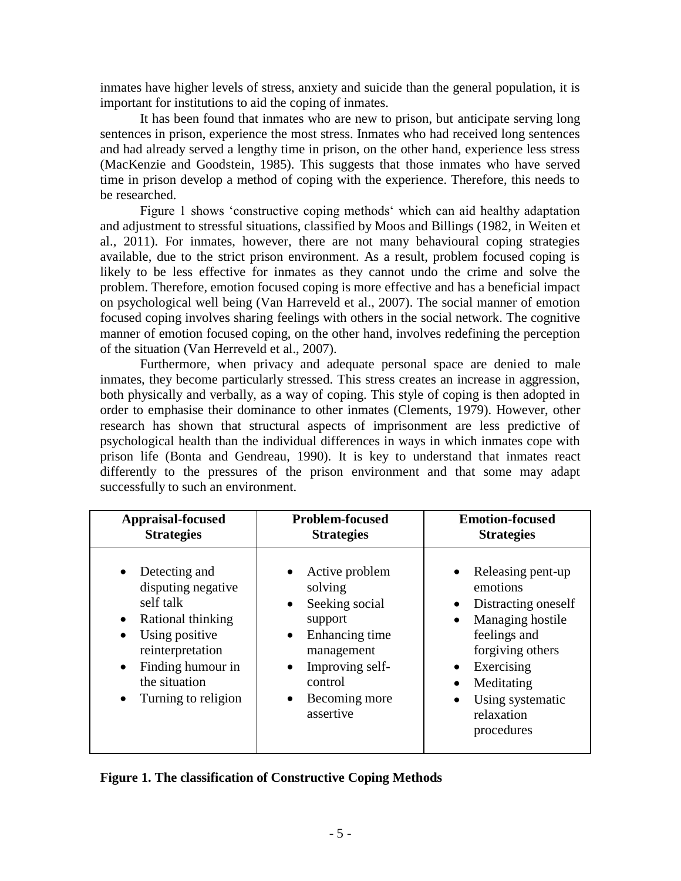inmates have higher levels of stress, anxiety and suicide than the general population, it is important for institutions to aid the coping of inmates.

It has been found that inmates who are new to prison, but anticipate serving long sentences in prison, experience the most stress. Inmates who had received long sentences and had already served a lengthy time in prison, on the other hand, experience less stress (MacKenzie and Goodstein, 1985). This suggests that those inmates who have served time in prison develop a method of coping with the experience. Therefore, this needs to be researched.

Figure 1 shows 'constructive coping methods' which can aid healthy adaptation and adjustment to stressful situations, classified by Moos and Billings (1982, in Weiten et al., 2011). For inmates, however, there are not many behavioural coping strategies available, due to the strict prison environment. As a result, problem focused coping is likely to be less effective for inmates as they cannot undo the crime and solve the problem. Therefore, emotion focused coping is more effective and has a beneficial impact on psychological well being (Van Harreveld et al., 2007). The social manner of emotion focused coping involves sharing feelings with others in the social network. The cognitive manner of emotion focused coping, on the other hand, involves redefining the perception of the situation (Van Herreveld et al., 2007).

Furthermore, when privacy and adequate personal space are denied to male inmates, they become particularly stressed. This stress creates an increase in aggression, both physically and verbally, as a way of coping. This style of coping is then adopted in order to emphasise their dominance to other inmates (Clements, 1979). However, other research has shown that structural aspects of imprisonment are less predictive of psychological health than the individual differences in ways in which inmates cope with prison life (Bonta and Gendreau, 1990). It is key to understand that inmates react differently to the pressures of the prison environment and that some may adapt successfully to such an environment.

| <b>Appraisal-focused</b>                                                                                                                                                                                                     | <b>Problem-focused</b>                                                                                                                                                            | <b>Emotion-focused</b>                                                                                                                                                                                |
|------------------------------------------------------------------------------------------------------------------------------------------------------------------------------------------------------------------------------|-----------------------------------------------------------------------------------------------------------------------------------------------------------------------------------|-------------------------------------------------------------------------------------------------------------------------------------------------------------------------------------------------------|
| <b>Strategies</b>                                                                                                                                                                                                            | <b>Strategies</b>                                                                                                                                                                 | <b>Strategies</b>                                                                                                                                                                                     |
| Detecting and<br>$\bullet$<br>disputing negative<br>self talk<br>Rational thinking<br>$\bullet$<br>Using positive<br>reinterpretation<br>Finding humour in<br>$\bullet$<br>the situation<br>Turning to religion<br>$\bullet$ | Active problem<br>solving<br>Seeking social<br>$\bullet$<br>support<br>Enhancing time<br>$\bullet$<br>management<br>Improving self-<br>control<br>Becoming more<br>٠<br>assertive | Releasing pent-up<br>emotions<br>Distracting oneself<br>$\bullet$<br>Managing hostile<br>feelings and<br>forgiving others<br>Exercising<br>Meditating<br>Using systematic<br>relaxation<br>procedures |

|  |  |  |  |  | Figure 1. The classification of Constructive Coping Methods |  |  |
|--|--|--|--|--|-------------------------------------------------------------|--|--|
|--|--|--|--|--|-------------------------------------------------------------|--|--|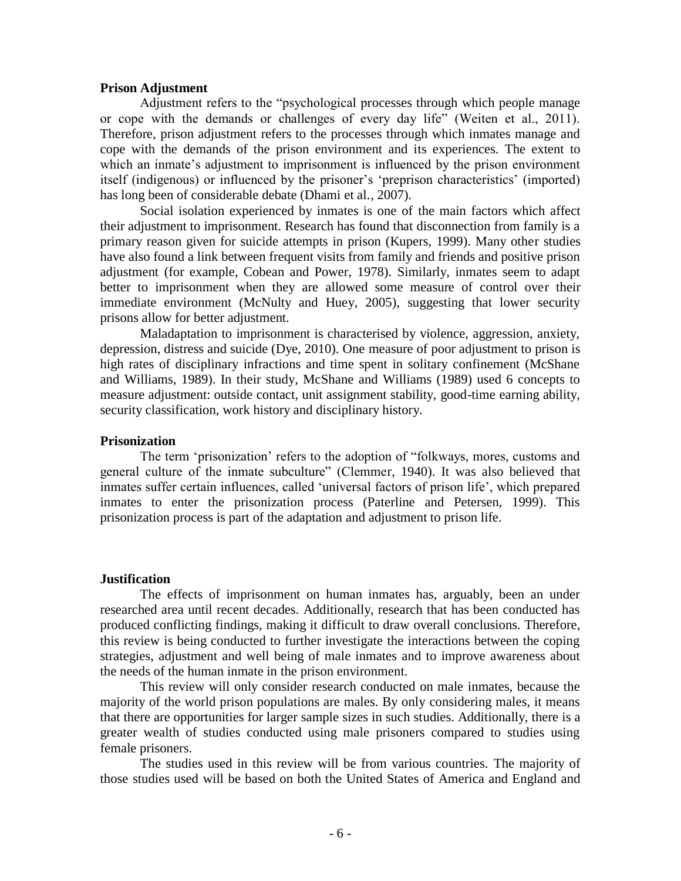### **Prison Adjustment**

Adjustment refers to the "psychological processes through which people manage or cope with the demands or challenges of every day life" (Weiten et al., 2011). Therefore, prison adjustment refers to the processes through which inmates manage and cope with the demands of the prison environment and its experiences. The extent to which an inmate's adjustment to imprisonment is influenced by the prison environment itself (indigenous) or influenced by the prisoner's 'preprison characteristics' (imported) has long been of considerable debate (Dhami et al., 2007).

Social isolation experienced by inmates is one of the main factors which affect their adjustment to imprisonment. Research has found that disconnection from family is a primary reason given for suicide attempts in prison (Kupers, 1999). Many other studies have also found a link between frequent visits from family and friends and positive prison adjustment (for example, Cobean and Power, 1978). Similarly, inmates seem to adapt better to imprisonment when they are allowed some measure of control over their immediate environment (McNulty and Huey, 2005), suggesting that lower security prisons allow for better adjustment.

Maladaptation to imprisonment is characterised by violence, aggression, anxiety, depression, distress and suicide (Dye, 2010). One measure of poor adjustment to prison is high rates of disciplinary infractions and time spent in solitary confinement (McShane and Williams, 1989). In their study, McShane and Williams (1989) used 6 concepts to measure adjustment: outside contact, unit assignment stability, good-time earning ability, security classification, work history and disciplinary history.

#### **Prisonization**

The term 'prisonization' refers to the adoption of "folkways, mores, customs and general culture of the inmate subculture" (Clemmer, 1940). It was also believed that inmates suffer certain influences, called 'universal factors of prison life', which prepared inmates to enter the prisonization process (Paterline and Petersen, 1999). This prisonization process is part of the adaptation and adjustment to prison life.

#### **Justification**

The effects of imprisonment on human inmates has, arguably, been an under researched area until recent decades. Additionally, research that has been conducted has produced conflicting findings, making it difficult to draw overall conclusions. Therefore, this review is being conducted to further investigate the interactions between the coping strategies, adjustment and well being of male inmates and to improve awareness about the needs of the human inmate in the prison environment.

This review will only consider research conducted on male inmates, because the majority of the world prison populations are males. By only considering males, it means that there are opportunities for larger sample sizes in such studies. Additionally, there is a greater wealth of studies conducted using male prisoners compared to studies using female prisoners.

The studies used in this review will be from various countries. The majority of those studies used will be based on both the United States of America and England and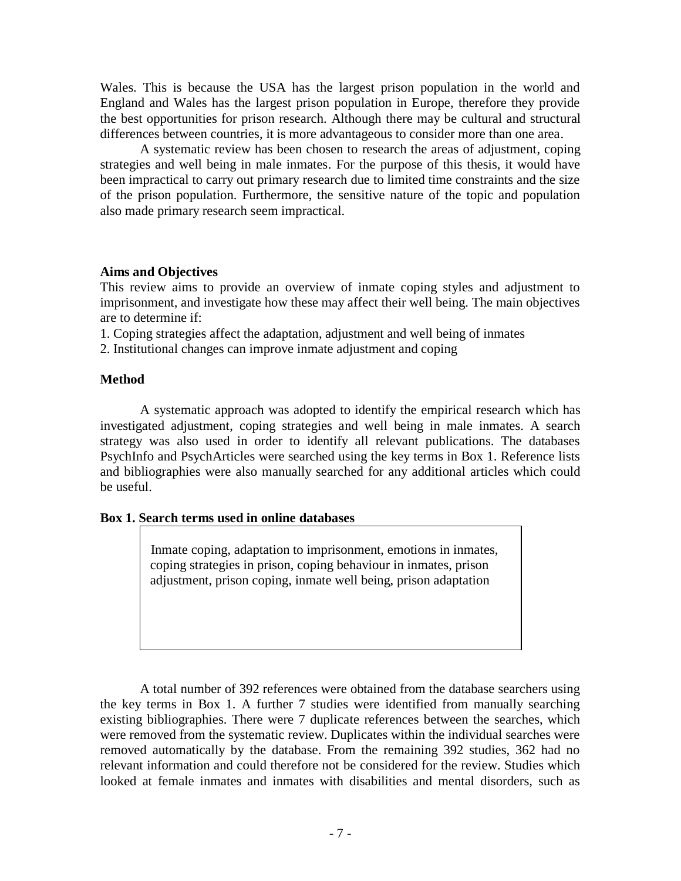Wales. This is because the USA has the largest prison population in the world and England and Wales has the largest prison population in Europe, therefore they provide the best opportunities for prison research. Although there may be cultural and structural differences between countries, it is more advantageous to consider more than one area.

A systematic review has been chosen to research the areas of adjustment, coping strategies and well being in male inmates. For the purpose of this thesis, it would have been impractical to carry out primary research due to limited time constraints and the size of the prison population. Furthermore, the sensitive nature of the topic and population also made primary research seem impractical.

# **Aims and Objectives**

This review aims to provide an overview of inmate coping styles and adjustment to imprisonment, and investigate how these may affect their well being. The main objectives are to determine if:

1. Coping strategies affect the adaptation, adjustment and well being of inmates

2. Institutional changes can improve inmate adjustment and coping

# **Method**

A systematic approach was adopted to identify the empirical research which has investigated adjustment, coping strategies and well being in male inmates. A search strategy was also used in order to identify all relevant publications. The databases PsychInfo and PsychArticles were searched using the key terms in Box 1. Reference lists and bibliographies were also manually searched for any additional articles which could be useful.

# **Box 1. Search terms used in online databases**

Inmate coping, adaptation to imprisonment, emotions in inmates, coping strategies in prison, coping behaviour in inmates, prison adjustment, prison coping, inmate well being, prison adaptation

A total number of 392 references were obtained from the database searchers using the key terms in Box 1. A further 7 studies were identified from manually searching existing bibliographies. There were 7 duplicate references between the searches, which were removed from the systematic review. Duplicates within the individual searches were removed automatically by the database. From the remaining 392 studies, 362 had no relevant information and could therefore not be considered for the review. Studies which looked at female inmates and inmates with disabilities and mental disorders, such as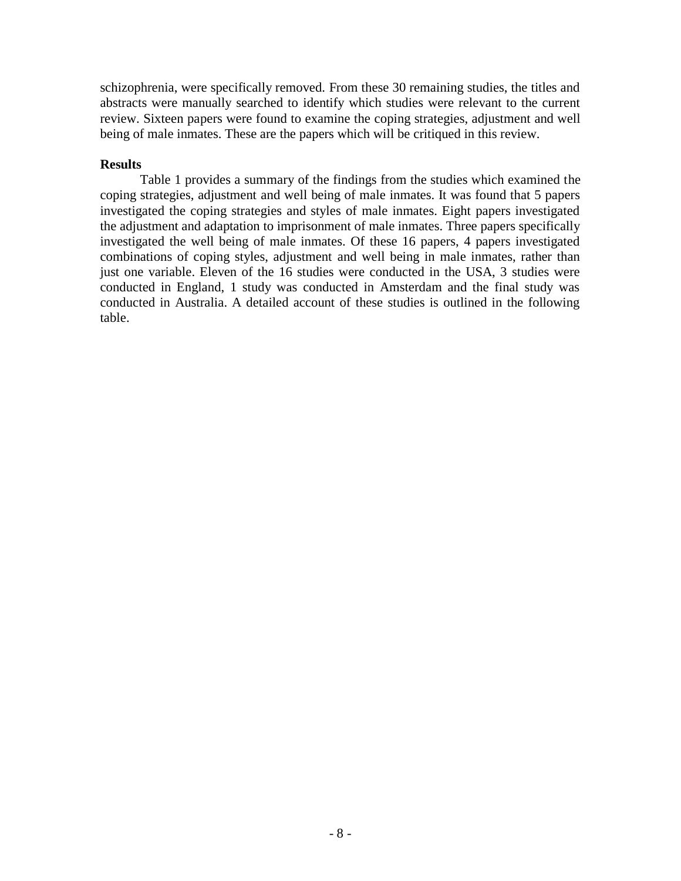schizophrenia, were specifically removed. From these 30 remaining studies, the titles and abstracts were manually searched to identify which studies were relevant to the current review. Sixteen papers were found to examine the coping strategies, adjustment and well being of male inmates. These are the papers which will be critiqued in this review.

# **Results**

Table 1 provides a summary of the findings from the studies which examined the coping strategies, adjustment and well being of male inmates. It was found that 5 papers investigated the coping strategies and styles of male inmates. Eight papers investigated the adjustment and adaptation to imprisonment of male inmates. Three papers specifically investigated the well being of male inmates. Of these 16 papers, 4 papers investigated combinations of coping styles, adjustment and well being in male inmates, rather than just one variable. Eleven of the 16 studies were conducted in the USA, 3 studies were conducted in England, 1 study was conducted in Amsterdam and the final study was conducted in Australia. A detailed account of these studies is outlined in the following table.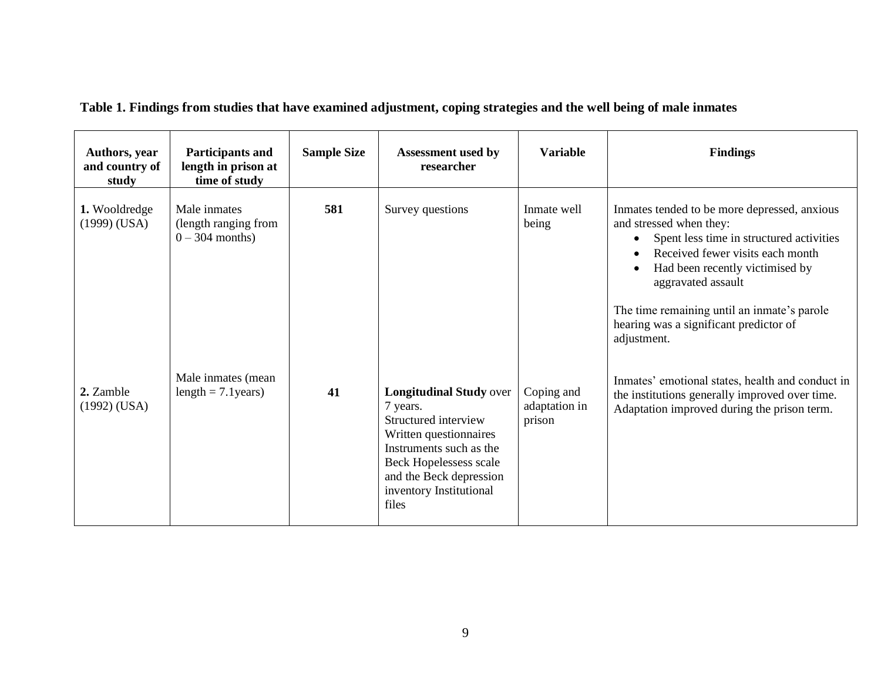| Authors, year<br>and country of<br>study | <b>Participants and</b><br>length in prison at<br>time of study | <b>Sample Size</b> | <b>Assessment used by</b><br>researcher                                                                                                                                                                          | <b>Variable</b>                       | <b>Findings</b>                                                                                                                                                                                                                                                                                                                                    |
|------------------------------------------|-----------------------------------------------------------------|--------------------|------------------------------------------------------------------------------------------------------------------------------------------------------------------------------------------------------------------|---------------------------------------|----------------------------------------------------------------------------------------------------------------------------------------------------------------------------------------------------------------------------------------------------------------------------------------------------------------------------------------------------|
| 1. Wooldredge<br>$(1999)$ (USA)          | Male inmates<br>(length ranging from<br>$0 - 304$ months)       | 581                | Survey questions                                                                                                                                                                                                 | Inmate well<br>being                  | Inmates tended to be more depressed, anxious<br>and stressed when they:<br>Spent less time in structured activities<br>$\bullet$<br>Received fewer visits each month<br>Had been recently victimised by<br>$\bullet$<br>aggravated assault<br>The time remaining until an inmate's parole<br>hearing was a significant predictor of<br>adjustment. |
| 2. Zamble<br>$(1992)$ (USA)              | Male inmates (mean<br>length = $7.1$ years)                     | 41                 | <b>Longitudinal Study over</b><br>7 years.<br>Structured interview<br>Written questionnaires<br>Instruments such as the<br>Beck Hopelessess scale<br>and the Beck depression<br>inventory Institutional<br>files | Coping and<br>adaptation in<br>prison | Inmates' emotional states, health and conduct in<br>the institutions generally improved over time.<br>Adaptation improved during the prison term.                                                                                                                                                                                                  |

**Table 1. Findings from studies that have examined adjustment, coping strategies and the well being of male inmates**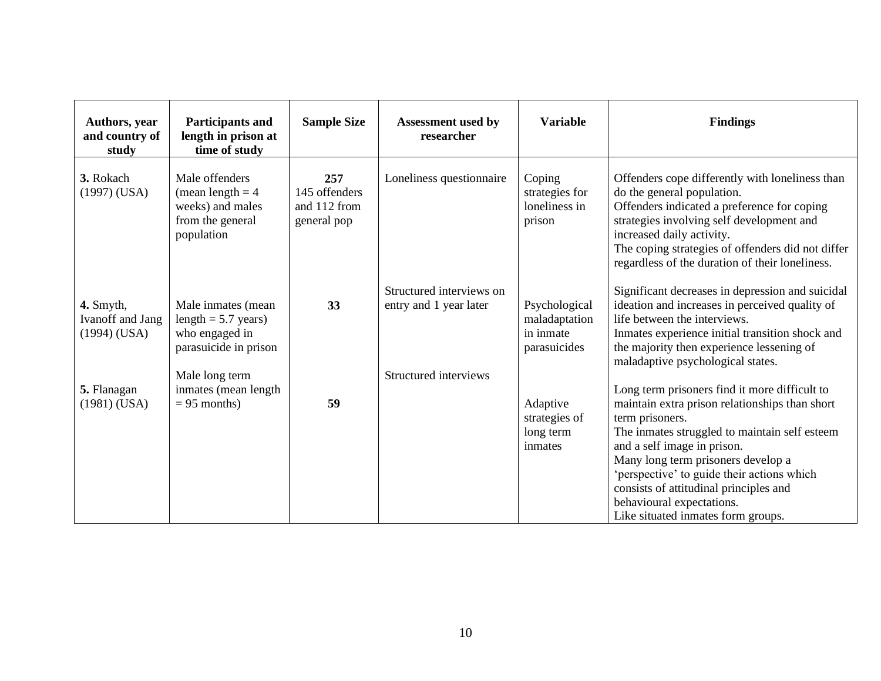| Authors, year<br>and country of<br>study                      | <b>Participants and</b><br>length in prison at<br>time of study                                          | <b>Sample Size</b>                                  | <b>Assessment</b> used by<br>researcher                                     | <b>Variable</b>                                             | <b>Findings</b>                                                                                                                                                                                                                                                                                                                                                                                     |
|---------------------------------------------------------------|----------------------------------------------------------------------------------------------------------|-----------------------------------------------------|-----------------------------------------------------------------------------|-------------------------------------------------------------|-----------------------------------------------------------------------------------------------------------------------------------------------------------------------------------------------------------------------------------------------------------------------------------------------------------------------------------------------------------------------------------------------------|
| 3. Rokach<br>$(1997)$ (USA)                                   | Male offenders<br>(mean length $= 4$<br>weeks) and males<br>from the general<br>population               | 257<br>145 offenders<br>and 112 from<br>general pop | Loneliness questionnaire                                                    | Coping<br>strategies for<br>loneliness in<br>prison         | Offenders cope differently with loneliness than<br>do the general population.<br>Offenders indicated a preference for coping<br>strategies involving self development and<br>increased daily activity.<br>The coping strategies of offenders did not differ<br>regardless of the duration of their loneliness.                                                                                      |
| 4. Smyth,<br><b>Ivanoff</b> and <b>Jang</b><br>$(1994)$ (USA) | Male inmates (mean<br>length $= 5.7$ years)<br>who engaged in<br>parasuicide in prison<br>Male long term | 33                                                  | Structured interviews on<br>entry and 1 year later<br>Structured interviews | Psychological<br>maladaptation<br>in inmate<br>parasuicides | Significant decreases in depression and suicidal<br>ideation and increases in perceived quality of<br>life between the interviews.<br>Inmates experience initial transition shock and<br>the majority then experience lessening of<br>maladaptive psychological states.                                                                                                                             |
| 5. Flanagan<br>$(1981)$ (USA)                                 | inmates (mean length<br>$= 95$ months)                                                                   | 59                                                  |                                                                             | Adaptive<br>strategies of<br>long term<br>inmates           | Long term prisoners find it more difficult to<br>maintain extra prison relationships than short<br>term prisoners.<br>The inmates struggled to maintain self esteem<br>and a self image in prison.<br>Many long term prisoners develop a<br>'perspective' to guide their actions which<br>consists of attitudinal principles and<br>behavioural expectations.<br>Like situated inmates form groups. |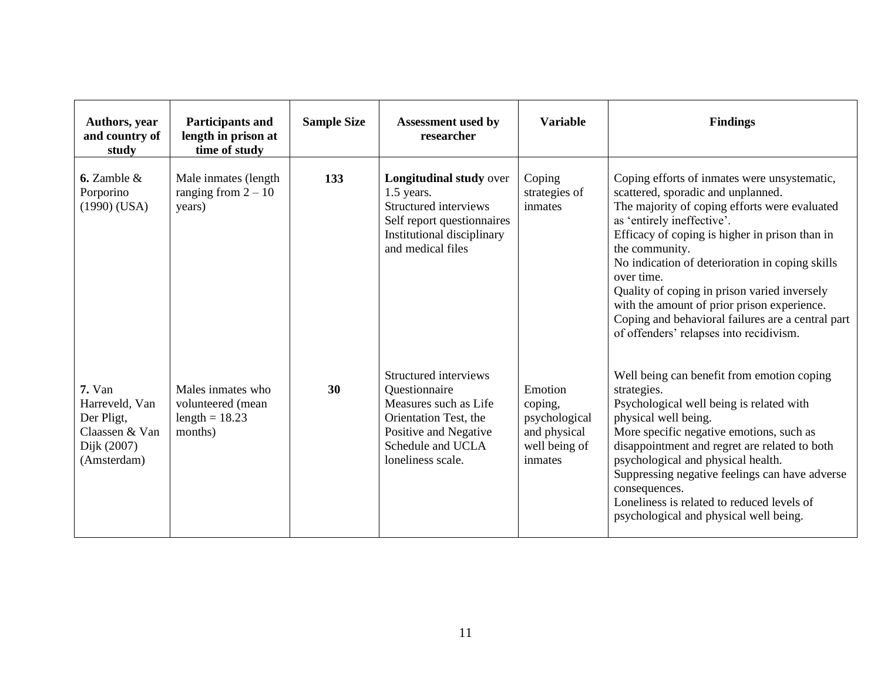| Authors, year<br>and country of<br>study                                                 | <b>Participants and</b><br>length in prison at<br>time of study       | <b>Sample Size</b> | <b>Assessment used by</b><br>researcher                                                                                                                     | <b>Variable</b>                                                                 | <b>Findings</b>                                                                                                                                                                                                                                                                                                                                                                                                                                                                                       |
|------------------------------------------------------------------------------------------|-----------------------------------------------------------------------|--------------------|-------------------------------------------------------------------------------------------------------------------------------------------------------------|---------------------------------------------------------------------------------|-------------------------------------------------------------------------------------------------------------------------------------------------------------------------------------------------------------------------------------------------------------------------------------------------------------------------------------------------------------------------------------------------------------------------------------------------------------------------------------------------------|
| 6. Zamble $\&$<br>Porporino<br>$(1990)$ (USA)                                            | Male inmates (length)<br>ranging from $2 - 10$<br>years)              | 133                | Longitudinal study over<br>$1.5$ years.<br>Structured interviews<br>Self report questionnaires<br>Institutional disciplinary<br>and medical files           | Coping<br>strategies of<br>inmates                                              | Coping efforts of inmates were unsystematic,<br>scattered, sporadic and unplanned.<br>The majority of coping efforts were evaluated<br>as 'entirely ineffective'.<br>Efficacy of coping is higher in prison than in<br>the community.<br>No indication of deterioration in coping skills<br>over time.<br>Quality of coping in prison varied inversely<br>with the amount of prior prison experience.<br>Coping and behavioral failures are a central part<br>of offenders' relapses into recidivism. |
| $7. Van$<br>Harreveld, Van<br>Der Pligt,<br>Claassen & Van<br>Dijk (2007)<br>(Amsterdam) | Males inmates who<br>volunteered (mean<br>length = $18.23$<br>months) | 30                 | Structured interviews<br>Questionnaire<br>Measures such as Life<br>Orientation Test, the<br>Positive and Negative<br>Schedule and UCLA<br>loneliness scale. | Emotion<br>coping,<br>psychological<br>and physical<br>well being of<br>inmates | Well being can benefit from emotion coping<br>strategies.<br>Psychological well being is related with<br>physical well being.<br>More specific negative emotions, such as<br>disappointment and regret are related to both<br>psychological and physical health.<br>Suppressing negative feelings can have adverse<br>consequences.<br>Loneliness is related to reduced levels of<br>psychological and physical well being.                                                                           |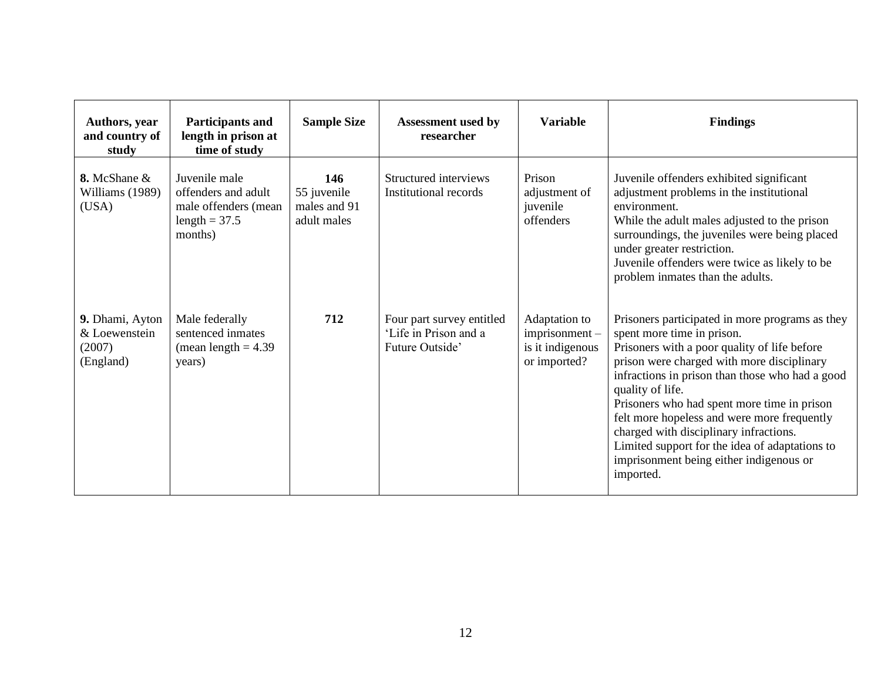| Authors, year<br>and country of<br>study                | Participants and<br>length in prison at<br>time of study                                   | <b>Sample Size</b>                                | <b>Assessment used by</b><br>researcher                               | <b>Variable</b>                                                       | <b>Findings</b>                                                                                                                                                                                                                                                                                                                                                                                                                                                                                      |
|---------------------------------------------------------|--------------------------------------------------------------------------------------------|---------------------------------------------------|-----------------------------------------------------------------------|-----------------------------------------------------------------------|------------------------------------------------------------------------------------------------------------------------------------------------------------------------------------------------------------------------------------------------------------------------------------------------------------------------------------------------------------------------------------------------------------------------------------------------------------------------------------------------------|
| 8. McShane &<br>Williams (1989)<br>(USA)                | Juvenile male<br>offenders and adult<br>male offenders (mean<br>length = $37.5$<br>months) | 146<br>55 juvenile<br>males and 91<br>adult males | Structured interviews<br>Institutional records                        | Prison<br>adjustment of<br>juvenile<br>offenders                      | Juvenile offenders exhibited significant<br>adjustment problems in the institutional<br>environment.<br>While the adult males adjusted to the prison<br>surroundings, the juveniles were being placed<br>under greater restriction.<br>Juvenile offenders were twice as likely to be<br>problem inmates than the adults.                                                                                                                                                                             |
| 9. Dhami, Ayton<br>& Loewenstein<br>(2007)<br>(England) | Male federally<br>sentenced inmates<br>(mean length $= 4.39$ )<br>years)                   | 712                                               | Four part survey entitled<br>'Life in Prison and a<br>Future Outside' | Adaptation to<br>$imprisonment -$<br>is it indigenous<br>or imported? | Prisoners participated in more programs as they<br>spent more time in prison.<br>Prisoners with a poor quality of life before<br>prison were charged with more disciplinary<br>infractions in prison than those who had a good<br>quality of life.<br>Prisoners who had spent more time in prison<br>felt more hopeless and were more frequently<br>charged with disciplinary infractions.<br>Limited support for the idea of adaptations to<br>imprisonment being either indigenous or<br>imported. |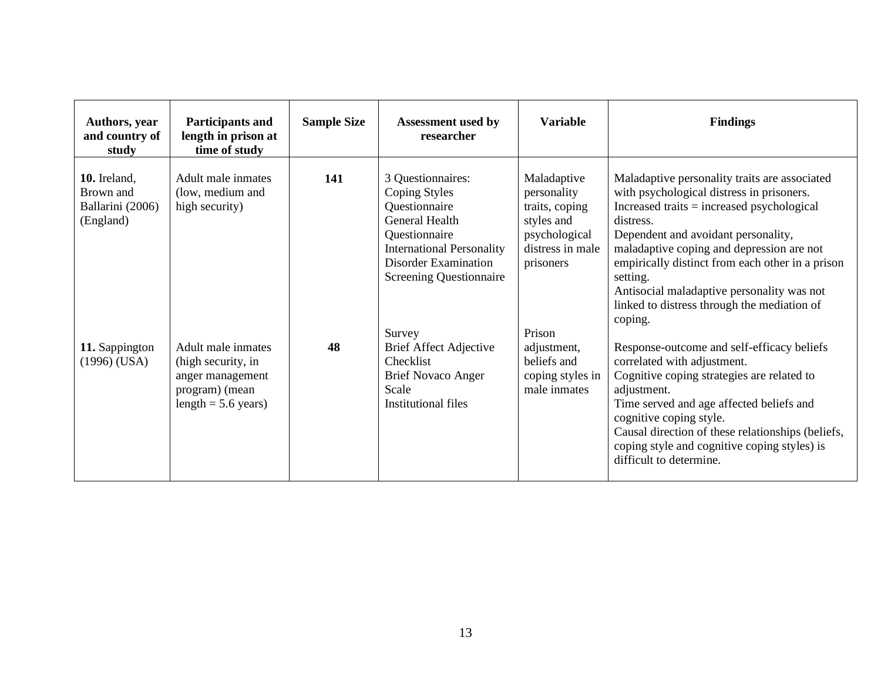| Authors, year<br>and country of<br>study                   | <b>Participants and</b><br>length in prison at<br>time of study                                         | <b>Sample Size</b> | <b>Assessment used by</b><br>researcher                                                                                                                                       | <b>Variable</b>                                                                                              | <b>Findings</b>                                                                                                                                                                                                                                                                                                                                                                                                     |
|------------------------------------------------------------|---------------------------------------------------------------------------------------------------------|--------------------|-------------------------------------------------------------------------------------------------------------------------------------------------------------------------------|--------------------------------------------------------------------------------------------------------------|---------------------------------------------------------------------------------------------------------------------------------------------------------------------------------------------------------------------------------------------------------------------------------------------------------------------------------------------------------------------------------------------------------------------|
| 10. Ireland,<br>Brown and<br>Ballarini (2006)<br>(England) | Adult male inmates<br>(low, medium and<br>high security)                                                | 141                | 3 Questionnaires:<br>Coping Styles<br>Questionnaire<br>General Health<br>Questionnaire<br><b>International Personality</b><br>Disorder Examination<br>Screening Questionnaire | Maladaptive<br>personality<br>traits, coping<br>styles and<br>psychological<br>distress in male<br>prisoners | Maladaptive personality traits are associated<br>with psychological distress in prisoners.<br>Increased traits $=$ increased psychological<br>distress.<br>Dependent and avoidant personality,<br>maladaptive coping and depression are not<br>empirically distinct from each other in a prison<br>setting.<br>Antisocial maladaptive personality was not<br>linked to distress through the mediation of<br>coping. |
| 11. Sappington<br>$(1996)$ (USA)                           | Adult male inmates<br>(high security, in<br>anger management<br>program) (mean<br>length $= 5.6$ years) | 48                 | Survey<br><b>Brief Affect Adjective</b><br>Checklist<br><b>Brief Novaco Anger</b><br>Scale<br><b>Institutional files</b>                                                      | Prison<br>adjustment,<br>beliefs and<br>coping styles in<br>male inmates                                     | Response-outcome and self-efficacy beliefs<br>correlated with adjustment.<br>Cognitive coping strategies are related to<br>adjustment.<br>Time served and age affected beliefs and<br>cognitive coping style.<br>Causal direction of these relationships (beliefs,<br>coping style and cognitive coping styles) is<br>difficult to determine.                                                                       |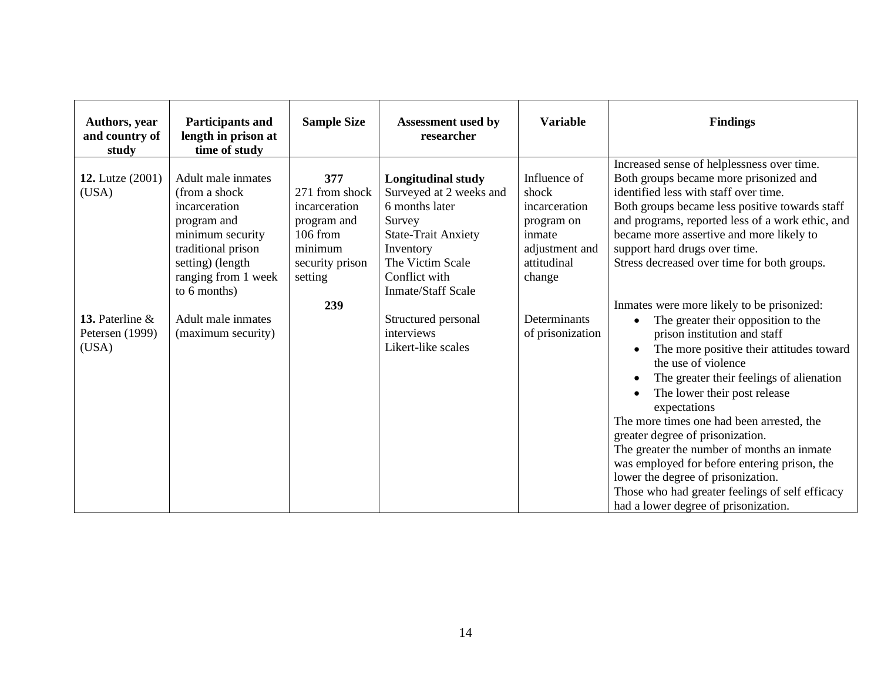| Authors, year<br>and country of<br>study            | <b>Participants and</b><br>length in prison at<br>time of study                                                                                                                                 | <b>Sample Size</b>                                                                                                  | Assessment used by<br>researcher                                                                                                                                                                                     | <b>Variable</b>                                                                                                           | <b>Findings</b>                                                                                                                                                                                                                                                                                                                                                                                                                                                                                                                                    |
|-----------------------------------------------------|-------------------------------------------------------------------------------------------------------------------------------------------------------------------------------------------------|---------------------------------------------------------------------------------------------------------------------|----------------------------------------------------------------------------------------------------------------------------------------------------------------------------------------------------------------------|---------------------------------------------------------------------------------------------------------------------------|----------------------------------------------------------------------------------------------------------------------------------------------------------------------------------------------------------------------------------------------------------------------------------------------------------------------------------------------------------------------------------------------------------------------------------------------------------------------------------------------------------------------------------------------------|
| <b>12.</b> Lutze (2001)<br>(USA)<br>13. Paterline & | Adult male inmates<br>(from a shock)<br>incarceration<br>program and<br>minimum security<br>traditional prison<br>setting) (length<br>ranging from 1 week<br>to 6 months)<br>Adult male inmates | 377<br>271 from shock<br>incarceration<br>program and<br>$106$ from<br>minimum<br>security prison<br>setting<br>239 | <b>Longitudinal study</b><br>Surveyed at 2 weeks and<br>6 months later<br>Survey<br><b>State-Trait Anxiety</b><br>Inventory<br>The Victim Scale<br>Conflict with<br><b>Inmate/Staff Scale</b><br>Structured personal | Influence of<br>shock<br>incarceration<br>program on<br>inmate<br>adjustment and<br>attitudinal<br>change<br>Determinants | Increased sense of helplessness over time.<br>Both groups became more prisonized and<br>identified less with staff over time.<br>Both groups became less positive towards staff<br>and programs, reported less of a work ethic, and<br>became more assertive and more likely to<br>support hard drugs over time.<br>Stress decreased over time for both groups.<br>Inmates were more likely to be prisonized:                                                                                                                                      |
| Petersen (1999)<br>(USA)                            | (maximum security)                                                                                                                                                                              |                                                                                                                     | interviews<br>Likert-like scales                                                                                                                                                                                     | of prisonization                                                                                                          | The greater their opposition to the<br>prison institution and staff<br>The more positive their attitudes toward<br>the use of violence<br>The greater their feelings of alienation<br>The lower their post release<br>expectations<br>The more times one had been arrested, the<br>greater degree of prisonization.<br>The greater the number of months an inmate<br>was employed for before entering prison, the<br>lower the degree of prisonization.<br>Those who had greater feelings of self efficacy<br>had a lower degree of prisonization. |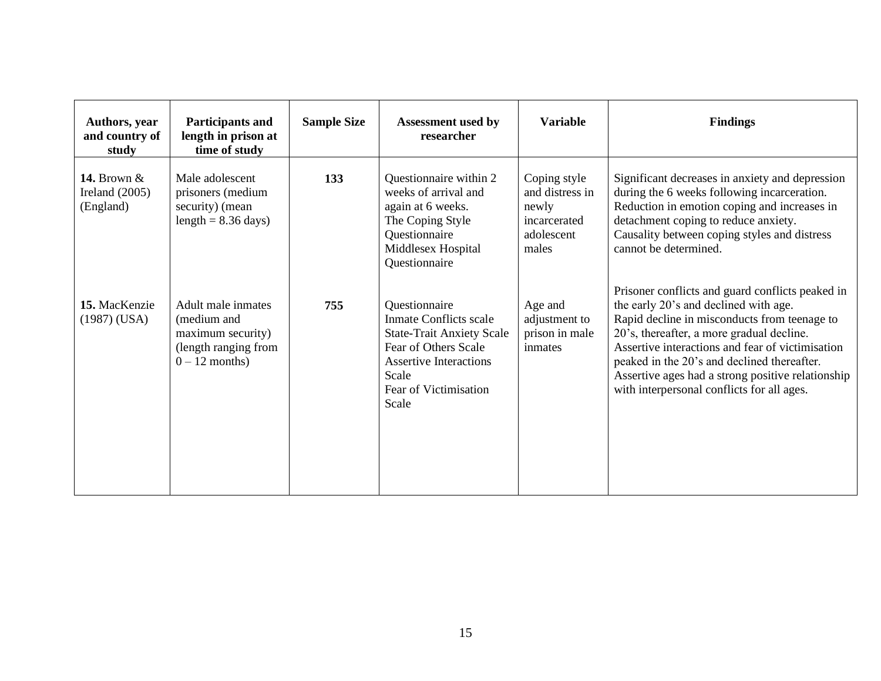| Authors, year<br>and country of<br>study       | Participants and<br>length in prison at<br>time of study                                           | <b>Sample Size</b> | <b>Assessment used by</b><br>researcher                                                                                                                                         | <b>Variable</b>                                                                 | <b>Findings</b>                                                                                                                                                                                                                                                                                                                                                                              |
|------------------------------------------------|----------------------------------------------------------------------------------------------------|--------------------|---------------------------------------------------------------------------------------------------------------------------------------------------------------------------------|---------------------------------------------------------------------------------|----------------------------------------------------------------------------------------------------------------------------------------------------------------------------------------------------------------------------------------------------------------------------------------------------------------------------------------------------------------------------------------------|
| 14. Brown $&$<br>Ireland $(2005)$<br>(England) | Male adolescent<br>prisoners (medium<br>security) (mean<br>length = $8.36 \text{ days}$ )          | 133                | Questionnaire within 2<br>weeks of arrival and<br>again at 6 weeks.<br>The Coping Style<br>Questionnaire<br>Middlesex Hospital<br>Questionnaire                                 | Coping style<br>and distress in<br>newly<br>incarcerated<br>adolescent<br>males | Significant decreases in anxiety and depression<br>during the 6 weeks following incarceration.<br>Reduction in emotion coping and increases in<br>detachment coping to reduce anxiety.<br>Causality between coping styles and distress<br>cannot be determined.                                                                                                                              |
| 15. MacKenzie<br>(1987) (USA)                  | Adult male inmates<br>(medium and<br>maximum security)<br>(length ranging from<br>$0 - 12$ months) | 755                | Questionnaire<br>Inmate Conflicts scale<br><b>State-Trait Anxiety Scale</b><br>Fear of Others Scale<br><b>Assertive Interactions</b><br>Scale<br>Fear of Victimisation<br>Scale | Age and<br>adjustment to<br>prison in male<br>inmates                           | Prisoner conflicts and guard conflicts peaked in<br>the early 20's and declined with age.<br>Rapid decline in misconducts from teenage to<br>20's, thereafter, a more gradual decline.<br>Assertive interactions and fear of victimisation<br>peaked in the 20's and declined thereafter.<br>Assertive ages had a strong positive relationship<br>with interpersonal conflicts for all ages. |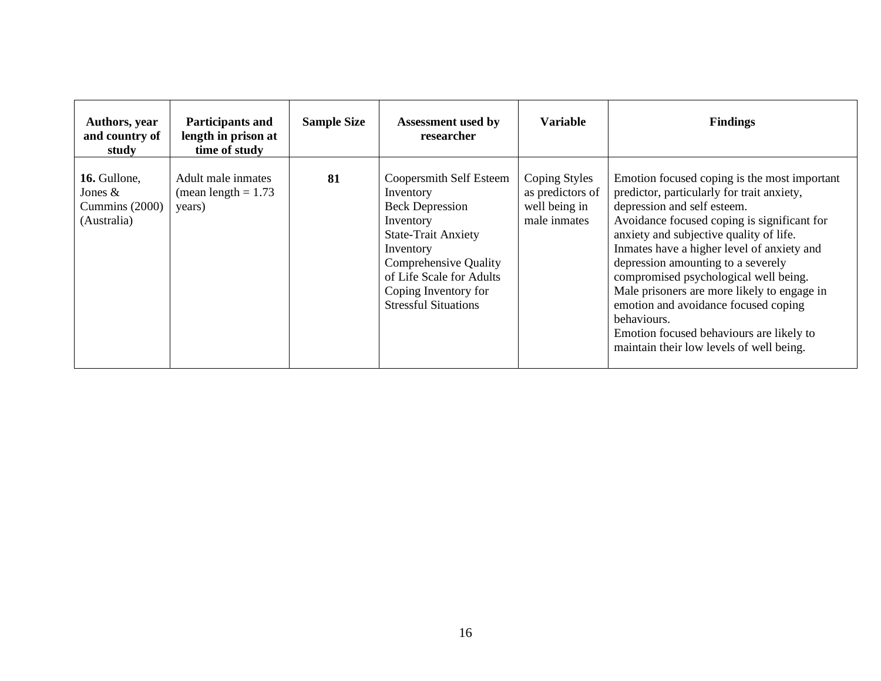| Authors, year<br>and country of<br>study                   | <b>Participants and</b><br>length in prison at<br>time of study | <b>Sample Size</b> | <b>Assessment used by</b><br>researcher                                                                                                                                                                                            | <b>Variable</b>                                                    | <b>Findings</b>                                                                                                                                                                                                                                                                                                                                                                                                                                                                                                                                |
|------------------------------------------------------------|-----------------------------------------------------------------|--------------------|------------------------------------------------------------------------------------------------------------------------------------------------------------------------------------------------------------------------------------|--------------------------------------------------------------------|------------------------------------------------------------------------------------------------------------------------------------------------------------------------------------------------------------------------------------------------------------------------------------------------------------------------------------------------------------------------------------------------------------------------------------------------------------------------------------------------------------------------------------------------|
| 16. Gullone,<br>Jones $&$<br>Cummins (2000)<br>(Australia) | Adult male inmates<br>(mean length $= 1.73$ )<br>years)         | 81                 | Coopersmith Self Esteem<br>Inventory<br><b>Beck Depression</b><br>Inventory<br><b>State-Trait Anxiety</b><br>Inventory<br>Comprehensive Quality<br>of Life Scale for Adults<br>Coping Inventory for<br><b>Stressful Situations</b> | Coping Styles<br>as predictors of<br>well being in<br>male inmates | Emotion focused coping is the most important<br>predictor, particularly for trait anxiety,<br>depression and self esteem.<br>Avoidance focused coping is significant for<br>anxiety and subjective quality of life.<br>Inmates have a higher level of anxiety and<br>depression amounting to a severely<br>compromised psychological well being.<br>Male prisoners are more likely to engage in<br>emotion and avoidance focused coping<br>behaviours.<br>Emotion focused behaviours are likely to<br>maintain their low levels of well being. |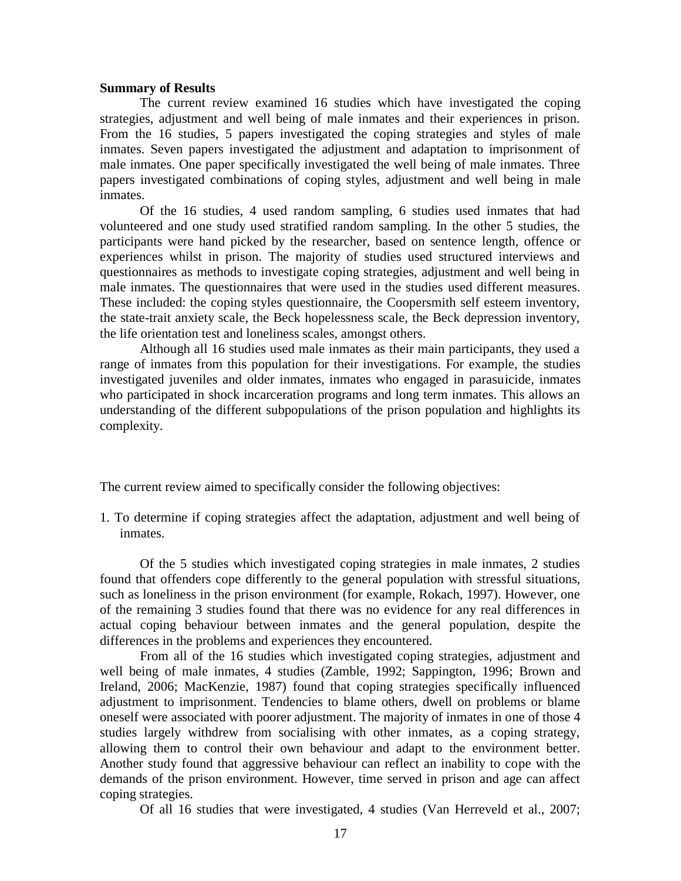#### **Summary of Results**

The current review examined 16 studies which have investigated the coping strategies, adjustment and well being of male inmates and their experiences in prison. From the 16 studies, 5 papers investigated the coping strategies and styles of male inmates. Seven papers investigated the adjustment and adaptation to imprisonment of male inmates. One paper specifically investigated the well being of male inmates. Three papers investigated combinations of coping styles, adjustment and well being in male inmates.

Of the 16 studies, 4 used random sampling, 6 studies used inmates that had volunteered and one study used stratified random sampling. In the other 5 studies, the participants were hand picked by the researcher, based on sentence length, offence or experiences whilst in prison. The majority of studies used structured interviews and questionnaires as methods to investigate coping strategies, adjustment and well being in male inmates. The questionnaires that were used in the studies used different measures. These included: the coping styles questionnaire, the Coopersmith self esteem inventory, the state-trait anxiety scale, the Beck hopelessness scale, the Beck depression inventory, the life orientation test and loneliness scales, amongst others.

Although all 16 studies used male inmates as their main participants, they used a range of inmates from this population for their investigations. For example, the studies investigated juveniles and older inmates, inmates who engaged in parasuicide, inmates who participated in shock incarceration programs and long term inmates. This allows an understanding of the different subpopulations of the prison population and highlights its complexity.

The current review aimed to specifically consider the following objectives:

1. To determine if coping strategies affect the adaptation, adjustment and well being of inmates.

Of the 5 studies which investigated coping strategies in male inmates, 2 studies found that offenders cope differently to the general population with stressful situations, such as loneliness in the prison environment (for example, Rokach, 1997). However, one of the remaining 3 studies found that there was no evidence for any real differences in actual coping behaviour between inmates and the general population, despite the differences in the problems and experiences they encountered.

From all of the 16 studies which investigated coping strategies, adjustment and well being of male inmates, 4 studies (Zamble, 1992; Sappington, 1996; Brown and Ireland, 2006; MacKenzie, 1987) found that coping strategies specifically influenced adjustment to imprisonment. Tendencies to blame others, dwell on problems or blame oneself were associated with poorer adjustment. The majority of inmates in one of those 4 studies largely withdrew from socialising with other inmates, as a coping strategy, allowing them to control their own behaviour and adapt to the environment better. Another study found that aggressive behaviour can reflect an inability to cope with the demands of the prison environment. However, time served in prison and age can affect coping strategies.

Of all 16 studies that were investigated, 4 studies (Van Herreveld et al., 2007;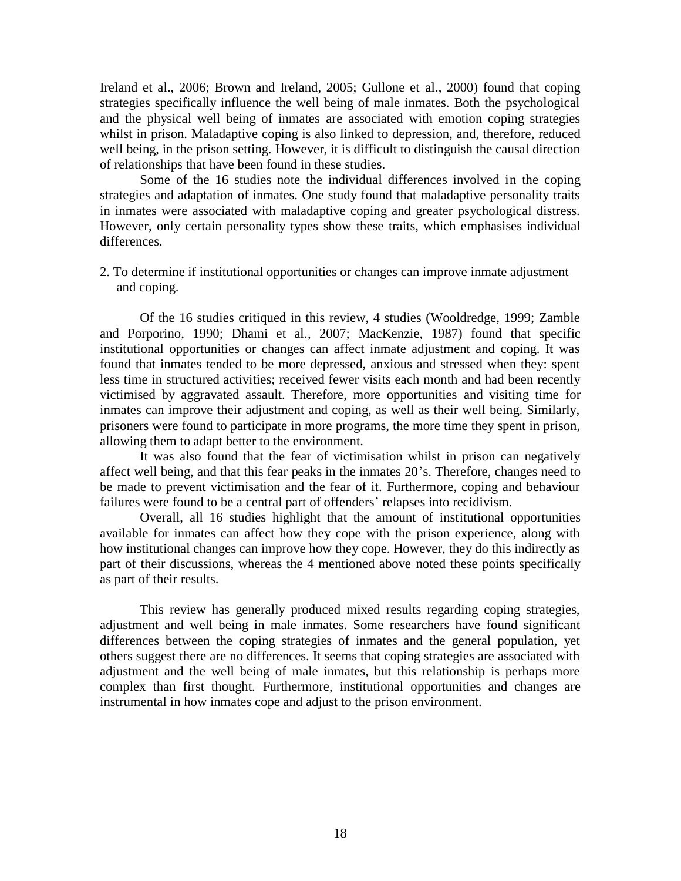Ireland et al., 2006; Brown and Ireland, 2005; Gullone et al., 2000) found that coping strategies specifically influence the well being of male inmates. Both the psychological and the physical well being of inmates are associated with emotion coping strategies whilst in prison. Maladaptive coping is also linked to depression, and, therefore, reduced well being, in the prison setting. However, it is difficult to distinguish the causal direction of relationships that have been found in these studies.

Some of the 16 studies note the individual differences involved in the coping strategies and adaptation of inmates. One study found that maladaptive personality traits in inmates were associated with maladaptive coping and greater psychological distress. However, only certain personality types show these traits, which emphasises individual differences.

2. To determine if institutional opportunities or changes can improve inmate adjustment and coping.

Of the 16 studies critiqued in this review, 4 studies (Wooldredge, 1999; Zamble and Porporino, 1990; Dhami et al., 2007; MacKenzie, 1987) found that specific institutional opportunities or changes can affect inmate adjustment and coping. It was found that inmates tended to be more depressed, anxious and stressed when they: spent less time in structured activities; received fewer visits each month and had been recently victimised by aggravated assault. Therefore, more opportunities and visiting time for inmates can improve their adjustment and coping, as well as their well being. Similarly, prisoners were found to participate in more programs, the more time they spent in prison, allowing them to adapt better to the environment.

It was also found that the fear of victimisation whilst in prison can negatively affect well being, and that this fear peaks in the inmates 20's. Therefore, changes need to be made to prevent victimisation and the fear of it. Furthermore, coping and behaviour failures were found to be a central part of offenders' relapses into recidivism.

Overall, all 16 studies highlight that the amount of institutional opportunities available for inmates can affect how they cope with the prison experience, along with how institutional changes can improve how they cope. However, they do this indirectly as part of their discussions, whereas the 4 mentioned above noted these points specifically as part of their results.

This review has generally produced mixed results regarding coping strategies, adjustment and well being in male inmates. Some researchers have found significant differences between the coping strategies of inmates and the general population, yet others suggest there are no differences. It seems that coping strategies are associated with adjustment and the well being of male inmates, but this relationship is perhaps more complex than first thought. Furthermore, institutional opportunities and changes are instrumental in how inmates cope and adjust to the prison environment.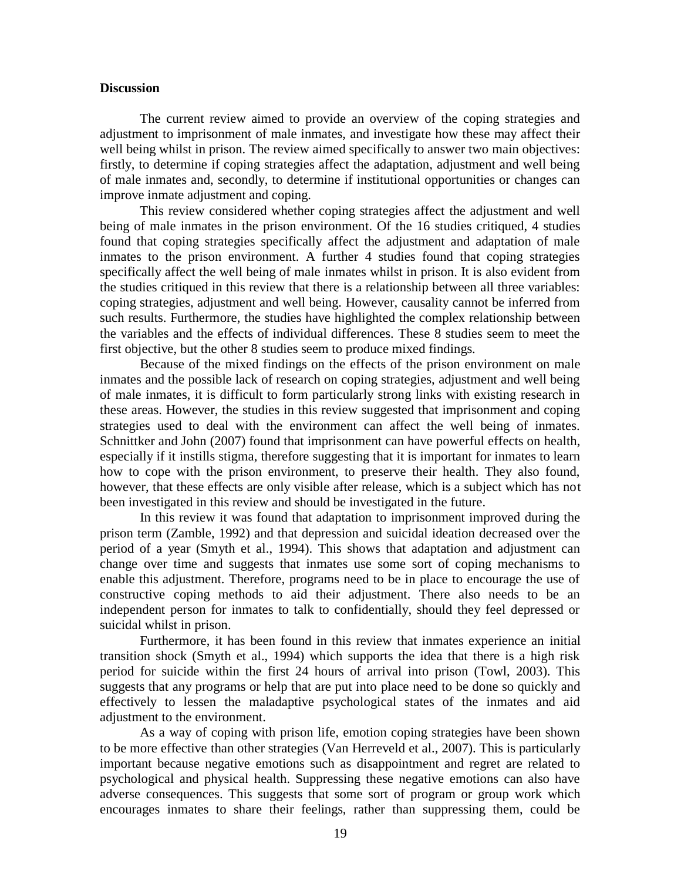#### **Discussion**

The current review aimed to provide an overview of the coping strategies and adjustment to imprisonment of male inmates, and investigate how these may affect their well being whilst in prison. The review aimed specifically to answer two main objectives: firstly, to determine if coping strategies affect the adaptation, adjustment and well being of male inmates and, secondly, to determine if institutional opportunities or changes can improve inmate adjustment and coping.

This review considered whether coping strategies affect the adjustment and well being of male inmates in the prison environment. Of the 16 studies critiqued, 4 studies found that coping strategies specifically affect the adjustment and adaptation of male inmates to the prison environment. A further 4 studies found that coping strategies specifically affect the well being of male inmates whilst in prison. It is also evident from the studies critiqued in this review that there is a relationship between all three variables: coping strategies, adjustment and well being. However, causality cannot be inferred from such results. Furthermore, the studies have highlighted the complex relationship between the variables and the effects of individual differences. These 8 studies seem to meet the first objective, but the other 8 studies seem to produce mixed findings.

Because of the mixed findings on the effects of the prison environment on male inmates and the possible lack of research on coping strategies, adjustment and well being of male inmates, it is difficult to form particularly strong links with existing research in these areas. However, the studies in this review suggested that imprisonment and coping strategies used to deal with the environment can affect the well being of inmates. Schnittker and John (2007) found that imprisonment can have powerful effects on health, especially if it instills stigma, therefore suggesting that it is important for inmates to learn how to cope with the prison environment, to preserve their health. They also found, however, that these effects are only visible after release, which is a subject which has not been investigated in this review and should be investigated in the future.

In this review it was found that adaptation to imprisonment improved during the prison term (Zamble, 1992) and that depression and suicidal ideation decreased over the period of a year (Smyth et al., 1994). This shows that adaptation and adjustment can change over time and suggests that inmates use some sort of coping mechanisms to enable this adjustment. Therefore, programs need to be in place to encourage the use of constructive coping methods to aid their adjustment. There also needs to be an independent person for inmates to talk to confidentially, should they feel depressed or suicidal whilst in prison.

Furthermore, it has been found in this review that inmates experience an initial transition shock (Smyth et al., 1994) which supports the idea that there is a high risk period for suicide within the first 24 hours of arrival into prison (Towl, 2003). This suggests that any programs or help that are put into place need to be done so quickly and effectively to lessen the maladaptive psychological states of the inmates and aid adjustment to the environment.

As a way of coping with prison life, emotion coping strategies have been shown to be more effective than other strategies (Van Herreveld et al., 2007). This is particularly important because negative emotions such as disappointment and regret are related to psychological and physical health. Suppressing these negative emotions can also have adverse consequences. This suggests that some sort of program or group work which encourages inmates to share their feelings, rather than suppressing them, could be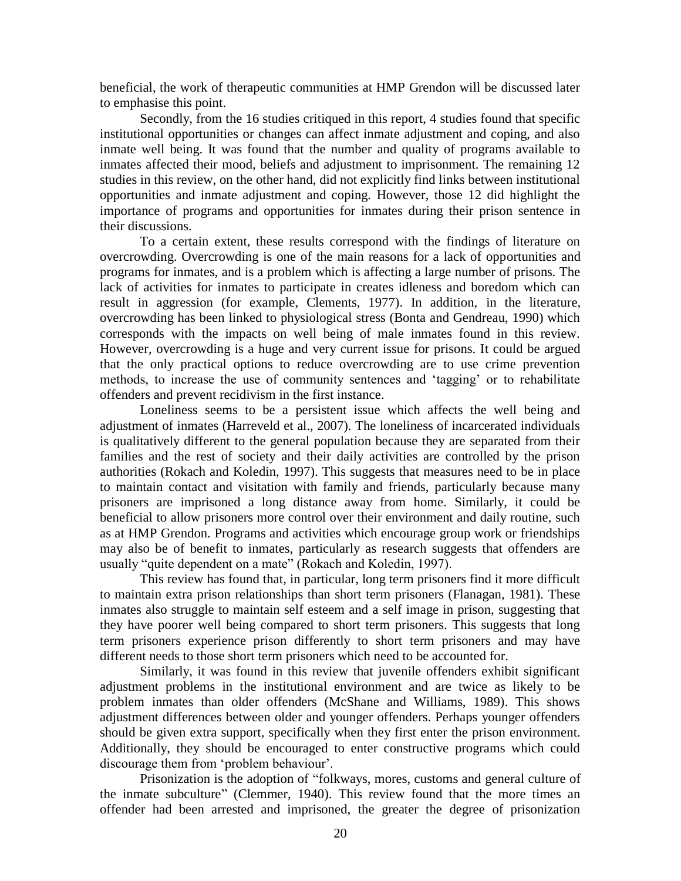beneficial, the work of therapeutic communities at HMP Grendon will be discussed later to emphasise this point.

Secondly, from the 16 studies critiqued in this report, 4 studies found that specific institutional opportunities or changes can affect inmate adjustment and coping, and also inmate well being. It was found that the number and quality of programs available to inmates affected their mood, beliefs and adjustment to imprisonment. The remaining 12 studies in this review, on the other hand, did not explicitly find links between institutional opportunities and inmate adjustment and coping. However, those 12 did highlight the importance of programs and opportunities for inmates during their prison sentence in their discussions.

To a certain extent, these results correspond with the findings of literature on overcrowding. Overcrowding is one of the main reasons for a lack of opportunities and programs for inmates, and is a problem which is affecting a large number of prisons. The lack of activities for inmates to participate in creates idleness and boredom which can result in aggression (for example, Clements, 1977). In addition, in the literature, overcrowding has been linked to physiological stress (Bonta and Gendreau, 1990) which corresponds with the impacts on well being of male inmates found in this review. However, overcrowding is a huge and very current issue for prisons. It could be argued that the only practical options to reduce overcrowding are to use crime prevention methods, to increase the use of community sentences and 'tagging' or to rehabilitate offenders and prevent recidivism in the first instance.

Loneliness seems to be a persistent issue which affects the well being and adjustment of inmates (Harreveld et al., 2007). The loneliness of incarcerated individuals is qualitatively different to the general population because they are separated from their families and the rest of society and their daily activities are controlled by the prison authorities (Rokach and Koledin, 1997). This suggests that measures need to be in place to maintain contact and visitation with family and friends, particularly because many prisoners are imprisoned a long distance away from home. Similarly, it could be beneficial to allow prisoners more control over their environment and daily routine, such as at HMP Grendon. Programs and activities which encourage group work or friendships may also be of benefit to inmates, particularly as research suggests that offenders are usually "quite dependent on a mate" (Rokach and Koledin, 1997).

This review has found that, in particular, long term prisoners find it more difficult to maintain extra prison relationships than short term prisoners (Flanagan, 1981). These inmates also struggle to maintain self esteem and a self image in prison, suggesting that they have poorer well being compared to short term prisoners. This suggests that long term prisoners experience prison differently to short term prisoners and may have different needs to those short term prisoners which need to be accounted for.

Similarly, it was found in this review that juvenile offenders exhibit significant adjustment problems in the institutional environment and are twice as likely to be problem inmates than older offenders (McShane and Williams, 1989). This shows adjustment differences between older and younger offenders. Perhaps younger offenders should be given extra support, specifically when they first enter the prison environment. Additionally, they should be encouraged to enter constructive programs which could discourage them from 'problem behaviour'.

Prisonization is the adoption of "folkways, mores, customs and general culture of the inmate subculture" (Clemmer, 1940). This review found that the more times an offender had been arrested and imprisoned, the greater the degree of prisonization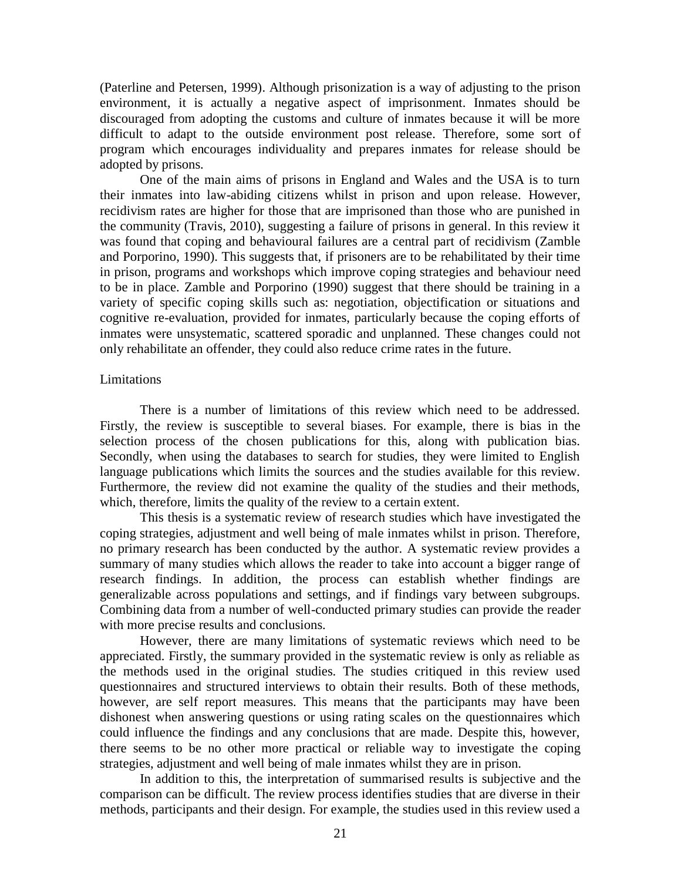(Paterline and Petersen, 1999). Although prisonization is a way of adjusting to the prison environment, it is actually a negative aspect of imprisonment. Inmates should be discouraged from adopting the customs and culture of inmates because it will be more difficult to adapt to the outside environment post release. Therefore, some sort of program which encourages individuality and prepares inmates for release should be adopted by prisons.

One of the main aims of prisons in England and Wales and the USA is to turn their inmates into law-abiding citizens whilst in prison and upon release. However, recidivism rates are higher for those that are imprisoned than those who are punished in the community (Travis, 2010), suggesting a failure of prisons in general. In this review it was found that coping and behavioural failures are a central part of recidivism (Zamble and Porporino, 1990). This suggests that, if prisoners are to be rehabilitated by their time in prison, programs and workshops which improve coping strategies and behaviour need to be in place. Zamble and Porporino (1990) suggest that there should be training in a variety of specific coping skills such as: negotiation, objectification or situations and cognitive re-evaluation, provided for inmates, particularly because the coping efforts of inmates were unsystematic, scattered sporadic and unplanned. These changes could not only rehabilitate an offender, they could also reduce crime rates in the future.

#### **Limitations**

There is a number of limitations of this review which need to be addressed. Firstly, the review is susceptible to several biases. For example, there is bias in the selection process of the chosen publications for this, along with publication bias. Secondly, when using the databases to search for studies, they were limited to English language publications which limits the sources and the studies available for this review. Furthermore, the review did not examine the quality of the studies and their methods, which, therefore, limits the quality of the review to a certain extent.

This thesis is a systematic review of research studies which have investigated the coping strategies, adjustment and well being of male inmates whilst in prison. Therefore, no primary research has been conducted by the author. A systematic review provides a summary of many studies which allows the reader to take into account a bigger range of research findings. In addition, the process can establish whether findings are generalizable across populations and settings, and if findings vary between subgroups. Combining data from a number of well-conducted primary studies can provide the reader with more precise results and conclusions.

However, there are many limitations of systematic reviews which need to be appreciated. Firstly, the summary provided in the systematic review is only as reliable as the methods used in the original studies. The studies critiqued in this review used questionnaires and structured interviews to obtain their results. Both of these methods, however, are self report measures. This means that the participants may have been dishonest when answering questions or using rating scales on the questionnaires which could influence the findings and any conclusions that are made. Despite this, however, there seems to be no other more practical or reliable way to investigate the coping strategies, adjustment and well being of male inmates whilst they are in prison.

In addition to this, the interpretation of summarised results is subjective and the comparison can be difficult. The review process identifies studies that are diverse in their methods, participants and their design. For example, the studies used in this review used a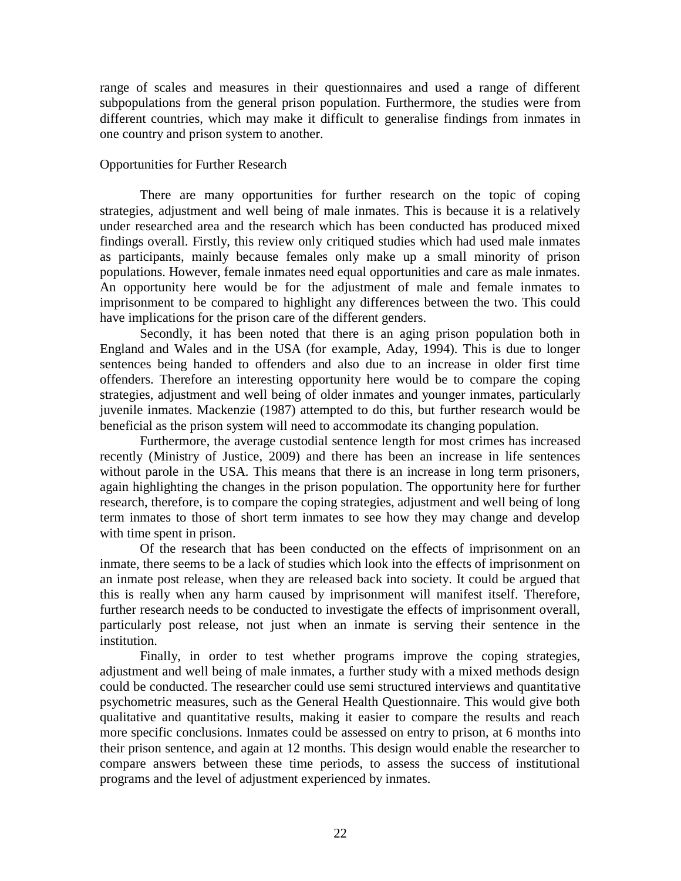range of scales and measures in their questionnaires and used a range of different subpopulations from the general prison population. Furthermore, the studies were from different countries, which may make it difficult to generalise findings from inmates in one country and prison system to another.

## Opportunities for Further Research

There are many opportunities for further research on the topic of coping strategies, adjustment and well being of male inmates. This is because it is a relatively under researched area and the research which has been conducted has produced mixed findings overall. Firstly, this review only critiqued studies which had used male inmates as participants, mainly because females only make up a small minority of prison populations. However, female inmates need equal opportunities and care as male inmates. An opportunity here would be for the adjustment of male and female inmates to imprisonment to be compared to highlight any differences between the two. This could have implications for the prison care of the different genders.

Secondly, it has been noted that there is an aging prison population both in England and Wales and in the USA (for example, Aday, 1994). This is due to longer sentences being handed to offenders and also due to an increase in older first time offenders. Therefore an interesting opportunity here would be to compare the coping strategies, adjustment and well being of older inmates and younger inmates, particularly juvenile inmates. Mackenzie (1987) attempted to do this, but further research would be beneficial as the prison system will need to accommodate its changing population.

Furthermore, the average custodial sentence length for most crimes has increased recently (Ministry of Justice, 2009) and there has been an increase in life sentences without parole in the USA. This means that there is an increase in long term prisoners, again highlighting the changes in the prison population. The opportunity here for further research, therefore, is to compare the coping strategies, adjustment and well being of long term inmates to those of short term inmates to see how they may change and develop with time spent in prison.

Of the research that has been conducted on the effects of imprisonment on an inmate, there seems to be a lack of studies which look into the effects of imprisonment on an inmate post release, when they are released back into society. It could be argued that this is really when any harm caused by imprisonment will manifest itself. Therefore, further research needs to be conducted to investigate the effects of imprisonment overall, particularly post release, not just when an inmate is serving their sentence in the institution.

Finally, in order to test whether programs improve the coping strategies, adjustment and well being of male inmates, a further study with a mixed methods design could be conducted. The researcher could use semi structured interviews and quantitative psychometric measures, such as the General Health Questionnaire. This would give both qualitative and quantitative results, making it easier to compare the results and reach more specific conclusions. Inmates could be assessed on entry to prison, at 6 months into their prison sentence, and again at 12 months. This design would enable the researcher to compare answers between these time periods, to assess the success of institutional programs and the level of adjustment experienced by inmates.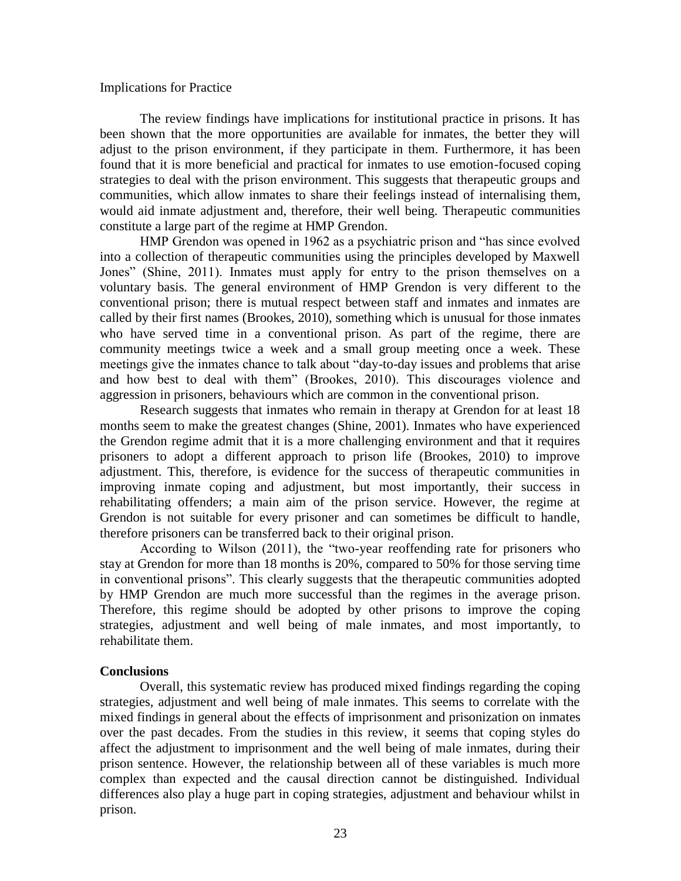#### Implications for Practice

The review findings have implications for institutional practice in prisons. It has been shown that the more opportunities are available for inmates, the better they will adjust to the prison environment, if they participate in them. Furthermore, it has been found that it is more beneficial and practical for inmates to use emotion-focused coping strategies to deal with the prison environment. This suggests that therapeutic groups and communities, which allow inmates to share their feelings instead of internalising them, would aid inmate adjustment and, therefore, their well being. Therapeutic communities constitute a large part of the regime at HMP Grendon.

HMP Grendon was opened in 1962 as a psychiatric prison and "has since evolved into a collection of therapeutic communities using the principles developed by Maxwell Jones" (Shine, 2011). Inmates must apply for entry to the prison themselves on a voluntary basis. The general environment of HMP Grendon is very different to the conventional prison; there is mutual respect between staff and inmates and inmates are called by their first names (Brookes, 2010), something which is unusual for those inmates who have served time in a conventional prison. As part of the regime, there are community meetings twice a week and a small group meeting once a week. These meetings give the inmates chance to talk about "day-to-day issues and problems that arise and how best to deal with them" (Brookes, 2010). This discourages violence and aggression in prisoners, behaviours which are common in the conventional prison.

Research suggests that inmates who remain in therapy at Grendon for at least 18 months seem to make the greatest changes (Shine, 2001). Inmates who have experienced the Grendon regime admit that it is a more challenging environment and that it requires prisoners to adopt a different approach to prison life (Brookes, 2010) to improve adjustment. This, therefore, is evidence for the success of therapeutic communities in improving inmate coping and adjustment, but most importantly, their success in rehabilitating offenders; a main aim of the prison service. However, the regime at Grendon is not suitable for every prisoner and can sometimes be difficult to handle, therefore prisoners can be transferred back to their original prison.

According to Wilson (2011), the "two-year reoffending rate for prisoners who stay at Grendon for more than 18 months is 20%, compared to 50% for those serving time in conventional prisons". This clearly suggests that the therapeutic communities adopted by HMP Grendon are much more successful than the regimes in the average prison. Therefore, this regime should be adopted by other prisons to improve the coping strategies, adjustment and well being of male inmates, and most importantly, to rehabilitate them.

### **Conclusions**

Overall, this systematic review has produced mixed findings regarding the coping strategies, adjustment and well being of male inmates. This seems to correlate with the mixed findings in general about the effects of imprisonment and prisonization on inmates over the past decades. From the studies in this review, it seems that coping styles do affect the adjustment to imprisonment and the well being of male inmates, during their prison sentence. However, the relationship between all of these variables is much more complex than expected and the causal direction cannot be distinguished. Individual differences also play a huge part in coping strategies, adjustment and behaviour whilst in prison.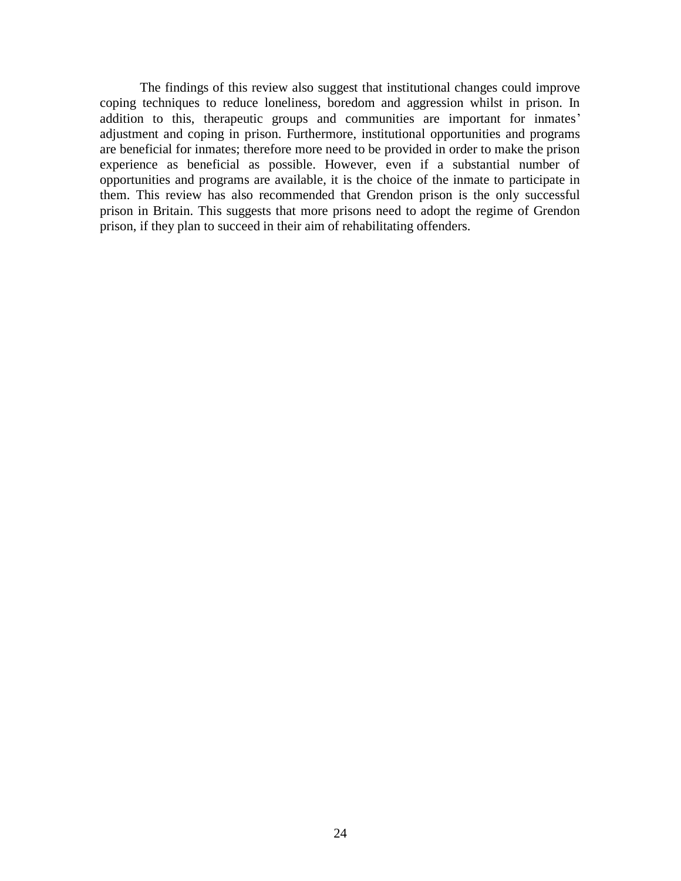The findings of this review also suggest that institutional changes could improve coping techniques to reduce loneliness, boredom and aggression whilst in prison. In addition to this, therapeutic groups and communities are important for inmates' adjustment and coping in prison. Furthermore, institutional opportunities and programs are beneficial for inmates; therefore more need to be provided in order to make the prison experience as beneficial as possible. However, even if a substantial number of opportunities and programs are available, it is the choice of the inmate to participate in them. This review has also recommended that Grendon prison is the only successful prison in Britain. This suggests that more prisons need to adopt the regime of Grendon prison, if they plan to succeed in their aim of rehabilitating offenders.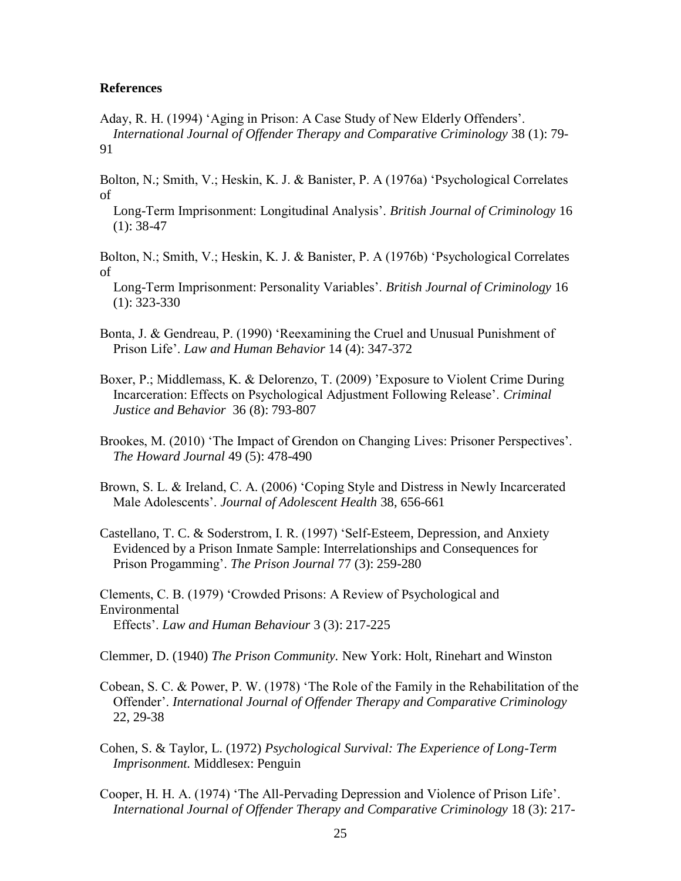### **References**

Aday, R. H. (1994) 'Aging in Prison: A Case Study of New Elderly Offenders'.  *International Journal of Offender Therapy and Comparative Criminology* 38 (1): 79- 91

Bolton, N.; Smith, V.; Heskin, K. J. & Banister, P. A (1976a) 'Psychological Correlates of

 Long-Term Imprisonment: Longitudinal Analysis'. *British Journal of Criminology* 16  $(1): 38-47$ 

- Bolton, N.; Smith, V.; Heskin, K. J. & Banister, P. A (1976b) 'Psychological Correlates of
- Long-Term Imprisonment: Personality Variables'. *British Journal of Criminology* 16 (1): 323-330
- Bonta, J. & Gendreau, P. (1990) 'Reexamining the Cruel and Unusual Punishment of Prison Life'. *Law and Human Behavior* 14 (4): 347-372
- Boxer, P.; Middlemass, K. & Delorenzo, T. (2009) 'Exposure to Violent Crime During Incarceration: Effects on Psychological Adjustment Following Release'. *Criminal Justice and Behavior* 36 (8): 793-807
- Brookes, M. (2010) 'The Impact of Grendon on Changing Lives: Prisoner Perspectives'. *The Howard Journal* 49 (5): 478-490
- Brown, S. L. & Ireland, C. A. (2006) 'Coping Style and Distress in Newly Incarcerated Male Adolescents'. *Journal of Adolescent Health* 38, 656-661
- Castellano, T. C. & Soderstrom, I. R. (1997) 'Self-Esteem, Depression, and Anxiety Evidenced by a Prison Inmate Sample: Interrelationships and Consequences for Prison Progamming'. *The Prison Journal* 77 (3): 259-280

Clements, C. B. (1979) 'Crowded Prisons: A Review of Psychological and Environmental Effects'. *Law and Human Behaviour* 3 (3): 217-225

Clemmer, D. (1940) *The Prison Community.* New York: Holt, Rinehart and Winston

- Cobean, S. C. & Power, P. W. (1978) 'The Role of the Family in the Rehabilitation of the Offender'. *International Journal of Offender Therapy and Comparative Criminology*  22, 29-38
- Cohen, S. & Taylor, L. (1972) *Psychological Survival: The Experience of Long-Term Imprisonment.* Middlesex: Penguin
- Cooper, H. H. A. (1974) 'The All-Pervading Depression and Violence of Prison Life'.  *International Journal of Offender Therapy and Comparative Criminology* 18 (3): 217-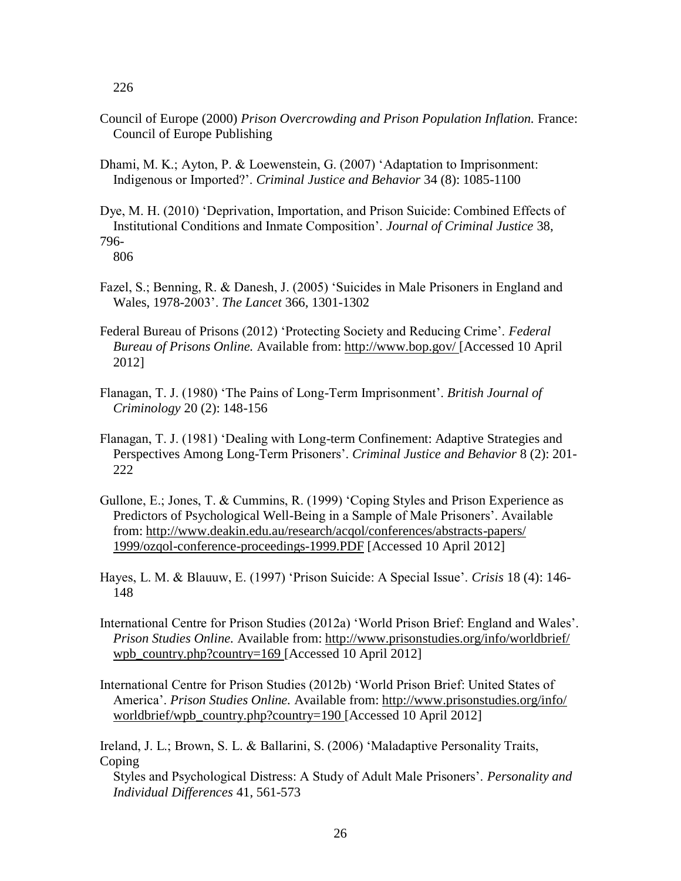226

- Council of Europe (2000) *Prison Overcrowding and Prison Population Inflation.* France: Council of Europe Publishing
- Dhami, M. K.; Ayton, P. & Loewenstein, G. (2007) 'Adaptation to Imprisonment: Indigenous or Imported?'. *Criminal Justice and Behavior* 34 (8): 1085-1100
- Dye, M. H. (2010) 'Deprivation, Importation, and Prison Suicide: Combined Effects of Institutional Conditions and Inmate Composition'. *Journal of Criminal Justice* 38, 796-

806

- Fazel, S.; Benning, R. & Danesh, J. (2005) 'Suicides in Male Prisoners in England and Wales, 1978-2003'. *The Lancet* 366, 1301-1302
- Federal Bureau of Prisons (2012) 'Protecting Society and Reducing Crime'. *Federal Bureau of Prisons Online.* Available from: http://www.bop.gov/ [Accessed 10 April 2012]
- Flanagan, T. J. (1980) 'The Pains of Long-Term Imprisonment'. *British Journal of Criminology* 20 (2): 148-156
- Flanagan, T. J. (1981) 'Dealing with Long-term Confinement: Adaptive Strategies and Perspectives Among Long-Term Prisoners'. *Criminal Justice and Behavior* 8 (2): 201- 222
- Gullone, E.; Jones, T. & Cummins, R. (1999) 'Coping Styles and Prison Experience as Predictors of Psychological Well-Being in a Sample of Male Prisoners'. Available from: http://www.deakin.edu.au/research/acqol/conferences/abstracts-papers/ 1999/ozqol-conference-proceedings-1999.PDF [Accessed 10 April 2012]
- Hayes, L. M. & Blauuw, E. (1997) 'Prison Suicide: A Special Issue'. *Crisis* 18 (4): 146- 148
- International Centre for Prison Studies (2012a) 'World Prison Brief: England and Wales'. *Prison Studies Online.* Available from: http://www.prisonstudies.org/info/worldbrief/ wpb\_country.php?country=169 [Accessed 10 April 2012]
- International Centre for Prison Studies (2012b) 'World Prison Brief: United States of America'. *Prison Studies Online.* Available from: http://www.prisonstudies.org/info/ worldbrief/wpb\_country.php?country=190 [Accessed 10 April 2012]

Ireland, J. L.; Brown, S. L. & Ballarini, S. (2006) 'Maladaptive Personality Traits, Coping Styles and Psychological Distress: A Study of Adult Male Prisoners'. *Personality and Individual Differences* 41, 561-573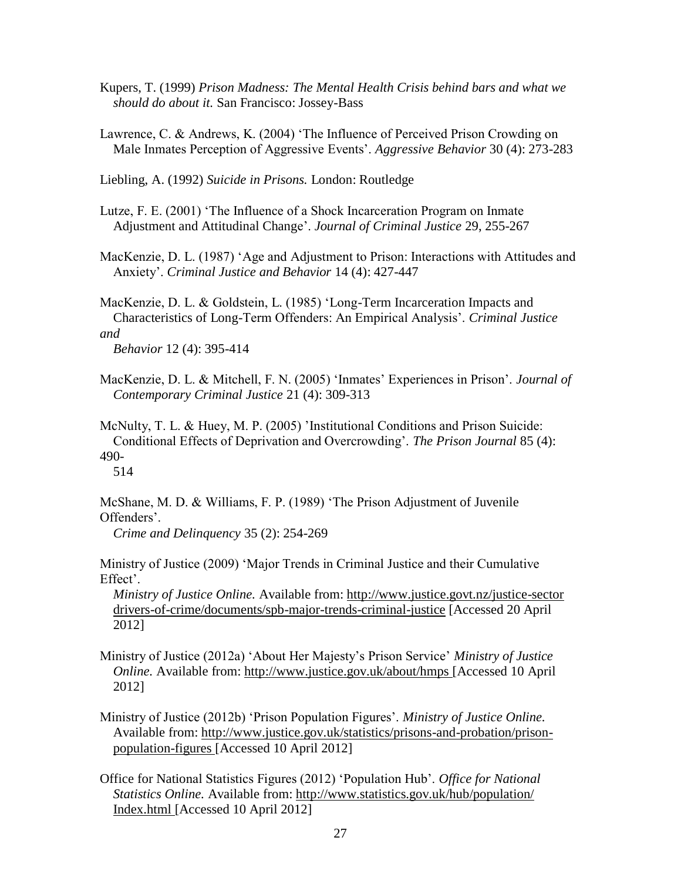- Kupers, T. (1999) *Prison Madness: The Mental Health Crisis behind bars and what we should do about it.* San Francisco: Jossey-Bass
- Lawrence, C. & Andrews, K. (2004) 'The Influence of Perceived Prison Crowding on Male Inmates Perception of Aggressive Events'. *Aggressive Behavior* 30 (4): 273-283

Liebling, A. (1992) *Suicide in Prisons.* London: Routledge

Lutze, F. E. (2001) 'The Influence of a Shock Incarceration Program on Inmate Adjustment and Attitudinal Change'. *Journal of Criminal Justice* 29, 255-267

MacKenzie, D. L. (1987) 'Age and Adjustment to Prison: Interactions with Attitudes and Anxiety'. *Criminal Justice and Behavior* 14 (4): 427-447

MacKenzie, D. L. & Goldstein, L. (1985) 'Long-Term Incarceration Impacts and Characteristics of Long-Term Offenders: An Empirical Analysis'. *Criminal Justice and* 

 *Behavior* 12 (4): 395-414

MacKenzie, D. L. & Mitchell, F. N. (2005) 'Inmates' Experiences in Prison'. *Journal of Contemporary Criminal Justice* 21 (4): 309-313

McNulty, T. L. & Huey, M. P. (2005) 'Institutional Conditions and Prison Suicide: Conditional Effects of Deprivation and Overcrowding'. *The Prison Journal* 85 (4): 490- 514

McShane, M. D. & Williams, F. P. (1989) 'The Prison Adjustment of Juvenile Offenders'.

*Crime and Delinquency* 35 (2): 254-269

Ministry of Justice (2009) 'Major Trends in Criminal Justice and their Cumulative Effect'.

 *Ministry of Justice Online.* Available from: http://www.justice.govt.nz/justice-sector drivers-of-crime/documents/spb-major-trends-criminal-justice [Accessed 20 April 2012]

- Ministry of Justice (2012a) 'About Her Majesty's Prison Service' *Ministry of Justice Online.* Available from: http://www.justice.gov.uk/about/hmps [Accessed 10 April 2012]
- Ministry of Justice (2012b) 'Prison Population Figures'. *Ministry of Justice Online.* Available from: http://www.justice.gov.uk/statistics/prisons-and-probation/prison population-figures [Accessed 10 April 2012]
- Office for National Statistics Figures (2012) 'Population Hub'. *Office for National Statistics Online.* Available from: http://www.statistics.gov.uk/hub/population/ Index.html [Accessed 10 April 2012]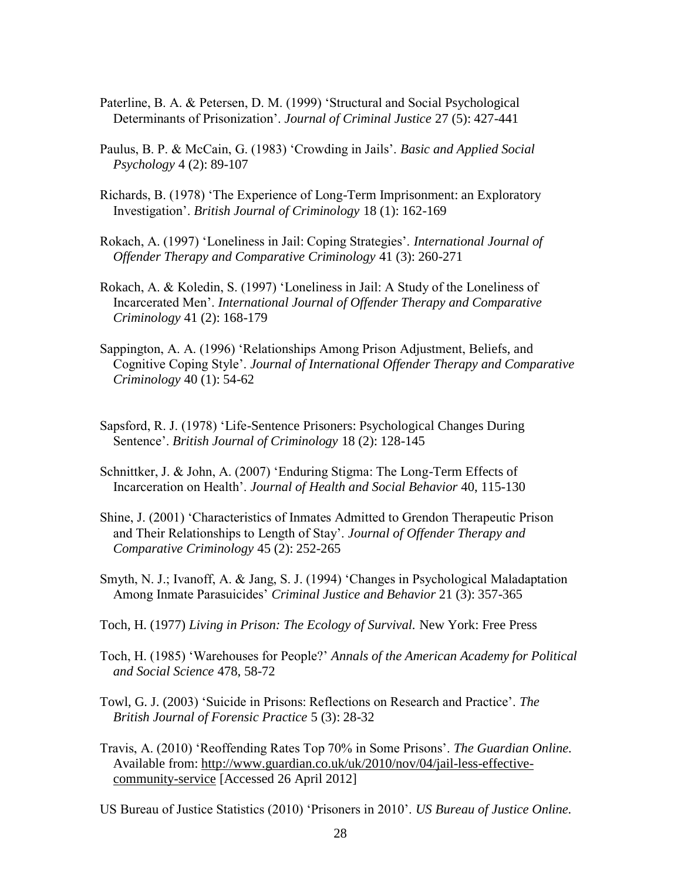- Paterline, B. A. & Petersen, D. M. (1999) 'Structural and Social Psychological Determinants of Prisonization'. *Journal of Criminal Justice* 27 (5): 427-441
- Paulus, B. P. & McCain, G. (1983) 'Crowding in Jails'. *Basic and Applied Social Psychology* 4 (2): 89-107
- Richards, B. (1978) 'The Experience of Long-Term Imprisonment: an Exploratory Investigation'. *British Journal of Criminology* 18 (1): 162-169
- Rokach, A. (1997) 'Loneliness in Jail: Coping Strategies'. *International Journal of Offender Therapy and Comparative Criminology* 41 (3): 260-271
- Rokach, A. & Koledin, S. (1997) 'Loneliness in Jail: A Study of the Loneliness of Incarcerated Men'. *International Journal of Offender Therapy and Comparative Criminology* 41 (2): 168-179
- Sappington, A. A. (1996) 'Relationships Among Prison Adjustment, Beliefs, and Cognitive Coping Style'. *Journal of International Offender Therapy and Comparative Criminology* 40 (1): 54-62
- Sapsford, R. J. (1978) 'Life-Sentence Prisoners: Psychological Changes During Sentence'. *British Journal of Criminology* 18 (2): 128-145
- Schnittker, J. & John, A. (2007) 'Enduring Stigma: The Long-Term Effects of Incarceration on Health'. *Journal of Health and Social Behavior* 40, 115-130
- Shine, J. (2001) 'Characteristics of Inmates Admitted to Grendon Therapeutic Prison and Their Relationships to Length of Stay'. *Journal of Offender Therapy and Comparative Criminology* 45 (2): 252-265
- Smyth, N. J.; Ivanoff, A. & Jang, S. J. (1994) 'Changes in Psychological Maladaptation Among Inmate Parasuicides' *Criminal Justice and Behavior* 21 (3): 357-365
- Toch, H. (1977) *Living in Prison: The Ecology of Survival.* New York: Free Press
- Toch, H. (1985) 'Warehouses for People?' *Annals of the American Academy for Political and Social Science* 478, 58-72
- Towl, G. J. (2003) 'Suicide in Prisons: Reflections on Research and Practice'. *The British Journal of Forensic Practice* 5 (3): 28-32
- Travis, A. (2010) 'Reoffending Rates Top 70% in Some Prisons'. *The Guardian Online.* Available from: http://www.guardian.co.uk/uk/2010/nov/04/jail-less-effective community-service [Accessed 26 April 2012]
- US Bureau of Justice Statistics (2010) 'Prisoners in 2010'. *US Bureau of Justice Online.*